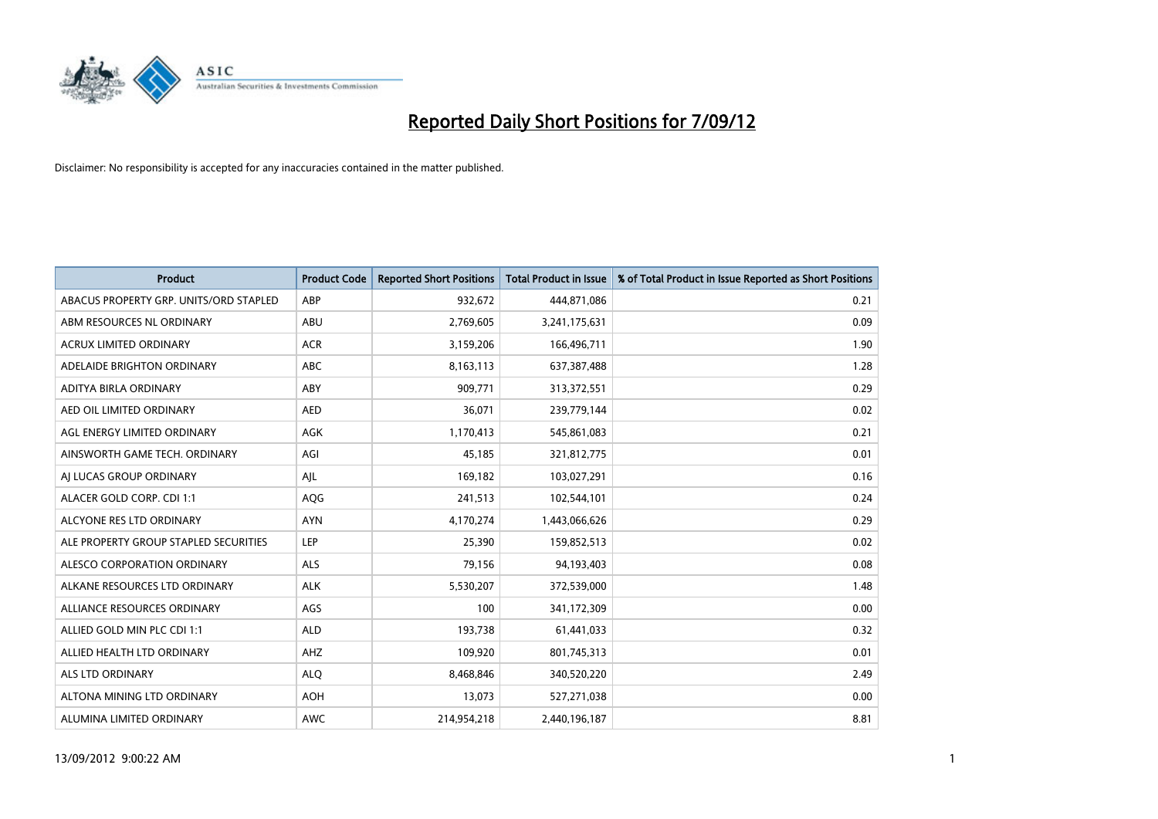

| <b>Product</b>                         | <b>Product Code</b> | <b>Reported Short Positions</b> | <b>Total Product in Issue</b> | % of Total Product in Issue Reported as Short Positions |
|----------------------------------------|---------------------|---------------------------------|-------------------------------|---------------------------------------------------------|
| ABACUS PROPERTY GRP. UNITS/ORD STAPLED | ABP                 | 932,672                         | 444,871,086                   | 0.21                                                    |
| ABM RESOURCES NL ORDINARY              | <b>ABU</b>          | 2,769,605                       | 3,241,175,631                 | 0.09                                                    |
| <b>ACRUX LIMITED ORDINARY</b>          | <b>ACR</b>          | 3,159,206                       | 166,496,711                   | 1.90                                                    |
| ADELAIDE BRIGHTON ORDINARY             | <b>ABC</b>          | 8,163,113                       | 637,387,488                   | 1.28                                                    |
| ADITYA BIRLA ORDINARY                  | ABY                 | 909.771                         | 313,372,551                   | 0.29                                                    |
| AED OIL LIMITED ORDINARY               | <b>AED</b>          | 36,071                          | 239,779,144                   | 0.02                                                    |
| AGL ENERGY LIMITED ORDINARY            | <b>AGK</b>          | 1,170,413                       | 545,861,083                   | 0.21                                                    |
| AINSWORTH GAME TECH. ORDINARY          | AGI                 | 45,185                          | 321,812,775                   | 0.01                                                    |
| AI LUCAS GROUP ORDINARY                | AJL                 | 169,182                         | 103,027,291                   | 0.16                                                    |
| ALACER GOLD CORP. CDI 1:1              | AQG                 | 241,513                         | 102,544,101                   | 0.24                                                    |
| ALCYONE RES LTD ORDINARY               | <b>AYN</b>          | 4,170,274                       | 1,443,066,626                 | 0.29                                                    |
| ALE PROPERTY GROUP STAPLED SECURITIES  | LEP                 | 25,390                          | 159,852,513                   | 0.02                                                    |
| ALESCO CORPORATION ORDINARY            | <b>ALS</b>          | 79,156                          | 94,193,403                    | 0.08                                                    |
| ALKANE RESOURCES LTD ORDINARY          | <b>ALK</b>          | 5,530,207                       | 372,539,000                   | 1.48                                                    |
| ALLIANCE RESOURCES ORDINARY            | AGS                 | 100                             | 341,172,309                   | 0.00                                                    |
| ALLIED GOLD MIN PLC CDI 1:1            | <b>ALD</b>          | 193,738                         | 61,441,033                    | 0.32                                                    |
| ALLIED HEALTH LTD ORDINARY             | AHZ                 | 109,920                         | 801,745,313                   | 0.01                                                    |
| <b>ALS LTD ORDINARY</b>                | <b>ALO</b>          | 8,468,846                       | 340,520,220                   | 2.49                                                    |
| ALTONA MINING LTD ORDINARY             | <b>AOH</b>          | 13,073                          | 527,271,038                   | 0.00                                                    |
| ALUMINA LIMITED ORDINARY               | <b>AWC</b>          | 214.954.218                     | 2,440,196,187                 | 8.81                                                    |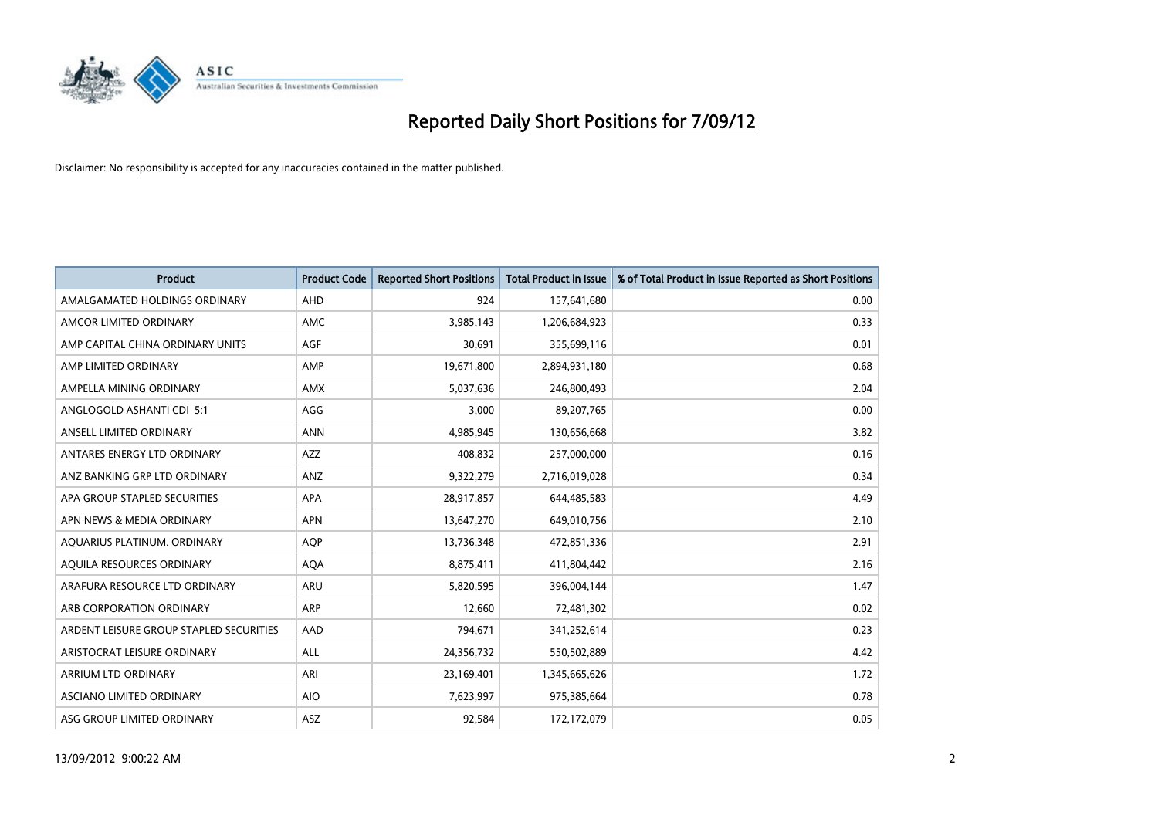

| <b>Product</b>                          | <b>Product Code</b> | <b>Reported Short Positions</b> | <b>Total Product in Issue</b> | % of Total Product in Issue Reported as Short Positions |
|-----------------------------------------|---------------------|---------------------------------|-------------------------------|---------------------------------------------------------|
| AMALGAMATED HOLDINGS ORDINARY           | AHD                 | 924                             | 157,641,680                   | 0.00                                                    |
| AMCOR LIMITED ORDINARY                  | <b>AMC</b>          | 3,985,143                       | 1,206,684,923                 | 0.33                                                    |
| AMP CAPITAL CHINA ORDINARY UNITS        | <b>AGF</b>          | 30,691                          | 355,699,116                   | 0.01                                                    |
| AMP LIMITED ORDINARY                    | AMP                 | 19,671,800                      | 2,894,931,180                 | 0.68                                                    |
| AMPELLA MINING ORDINARY                 | <b>AMX</b>          | 5,037,636                       | 246,800,493                   | 2.04                                                    |
| ANGLOGOLD ASHANTI CDI 5:1               | AGG                 | 3,000                           | 89,207,765                    | 0.00                                                    |
| ANSELL LIMITED ORDINARY                 | <b>ANN</b>          | 4,985,945                       | 130,656,668                   | 3.82                                                    |
| ANTARES ENERGY LTD ORDINARY             | <b>AZZ</b>          | 408,832                         | 257,000,000                   | 0.16                                                    |
| ANZ BANKING GRP LTD ORDINARY            | ANZ                 | 9,322,279                       | 2,716,019,028                 | 0.34                                                    |
| APA GROUP STAPLED SECURITIES            | <b>APA</b>          | 28,917,857                      | 644,485,583                   | 4.49                                                    |
| APN NEWS & MEDIA ORDINARY               | <b>APN</b>          | 13,647,270                      | 649,010,756                   | 2.10                                                    |
| AQUARIUS PLATINUM. ORDINARY             | <b>AOP</b>          | 13,736,348                      | 472,851,336                   | 2.91                                                    |
| AQUILA RESOURCES ORDINARY               | <b>AQA</b>          | 8,875,411                       | 411,804,442                   | 2.16                                                    |
| ARAFURA RESOURCE LTD ORDINARY           | ARU                 | 5,820,595                       | 396,004,144                   | 1.47                                                    |
| ARB CORPORATION ORDINARY                | <b>ARP</b>          | 12,660                          | 72,481,302                    | 0.02                                                    |
| ARDENT LEISURE GROUP STAPLED SECURITIES | AAD                 | 794,671                         | 341,252,614                   | 0.23                                                    |
| ARISTOCRAT LEISURE ORDINARY             | <b>ALL</b>          | 24,356,732                      | 550,502,889                   | 4.42                                                    |
| ARRIUM LTD ORDINARY                     | ARI                 | 23,169,401                      | 1,345,665,626                 | 1.72                                                    |
| <b>ASCIANO LIMITED ORDINARY</b>         | <b>AIO</b>          | 7,623,997                       | 975,385,664                   | 0.78                                                    |
| ASG GROUP LIMITED ORDINARY              | <b>ASZ</b>          | 92.584                          | 172,172,079                   | 0.05                                                    |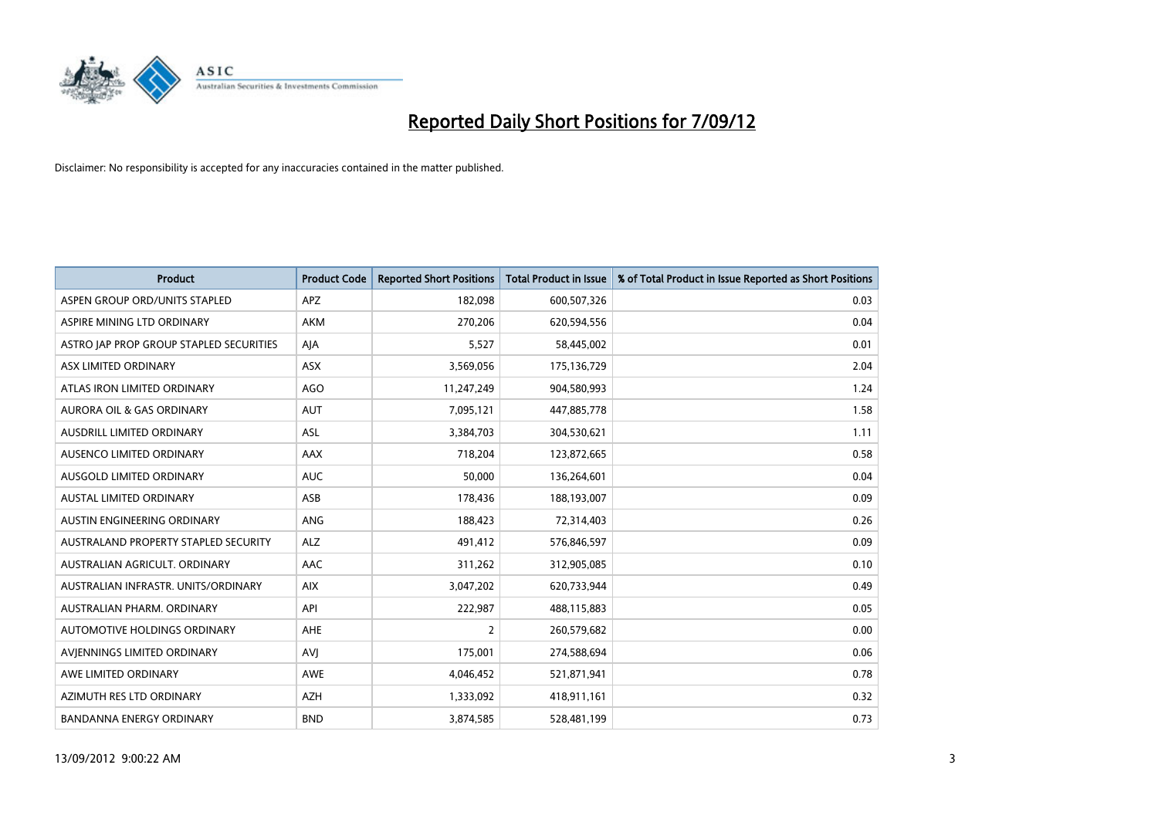

| <b>Product</b>                          | <b>Product Code</b> | <b>Reported Short Positions</b> | <b>Total Product in Issue</b> | % of Total Product in Issue Reported as Short Positions |
|-----------------------------------------|---------------------|---------------------------------|-------------------------------|---------------------------------------------------------|
| ASPEN GROUP ORD/UNITS STAPLED           | <b>APZ</b>          | 182,098                         | 600,507,326                   | 0.03                                                    |
| ASPIRE MINING LTD ORDINARY              | <b>AKM</b>          | 270,206                         | 620,594,556                   | 0.04                                                    |
| ASTRO JAP PROP GROUP STAPLED SECURITIES | AJA                 | 5,527                           | 58,445,002                    | 0.01                                                    |
| ASX LIMITED ORDINARY                    | <b>ASX</b>          | 3,569,056                       | 175,136,729                   | 2.04                                                    |
| ATLAS IRON LIMITED ORDINARY             | <b>AGO</b>          | 11,247,249                      | 904,580,993                   | 1.24                                                    |
| <b>AURORA OIL &amp; GAS ORDINARY</b>    | <b>AUT</b>          | 7,095,121                       | 447,885,778                   | 1.58                                                    |
| <b>AUSDRILL LIMITED ORDINARY</b>        | <b>ASL</b>          | 3,384,703                       | 304,530,621                   | 1.11                                                    |
| <b>AUSENCO LIMITED ORDINARY</b>         | <b>AAX</b>          | 718,204                         | 123,872,665                   | 0.58                                                    |
| AUSGOLD LIMITED ORDINARY                | <b>AUC</b>          | 50,000                          | 136,264,601                   | 0.04                                                    |
| <b>AUSTAL LIMITED ORDINARY</b>          | ASB                 | 178,436                         | 188,193,007                   | 0.09                                                    |
| AUSTIN ENGINEERING ORDINARY             | ANG                 | 188,423                         | 72,314,403                    | 0.26                                                    |
| AUSTRALAND PROPERTY STAPLED SECURITY    | <b>ALZ</b>          | 491,412                         | 576,846,597                   | 0.09                                                    |
| AUSTRALIAN AGRICULT. ORDINARY           | AAC                 | 311,262                         | 312,905,085                   | 0.10                                                    |
| AUSTRALIAN INFRASTR, UNITS/ORDINARY     | <b>AIX</b>          | 3,047,202                       | 620,733,944                   | 0.49                                                    |
| AUSTRALIAN PHARM, ORDINARY              | API                 | 222,987                         | 488,115,883                   | 0.05                                                    |
| AUTOMOTIVE HOLDINGS ORDINARY            | <b>AHE</b>          | 2                               | 260,579,682                   | 0.00                                                    |
| AVIENNINGS LIMITED ORDINARY             | AVI                 | 175,001                         | 274,588,694                   | 0.06                                                    |
| AWE LIMITED ORDINARY                    | <b>AWE</b>          | 4,046,452                       | 521,871,941                   | 0.78                                                    |
| AZIMUTH RES LTD ORDINARY                | <b>AZH</b>          | 1,333,092                       | 418,911,161                   | 0.32                                                    |
| <b>BANDANNA ENERGY ORDINARY</b>         | <b>BND</b>          | 3,874,585                       | 528,481,199                   | 0.73                                                    |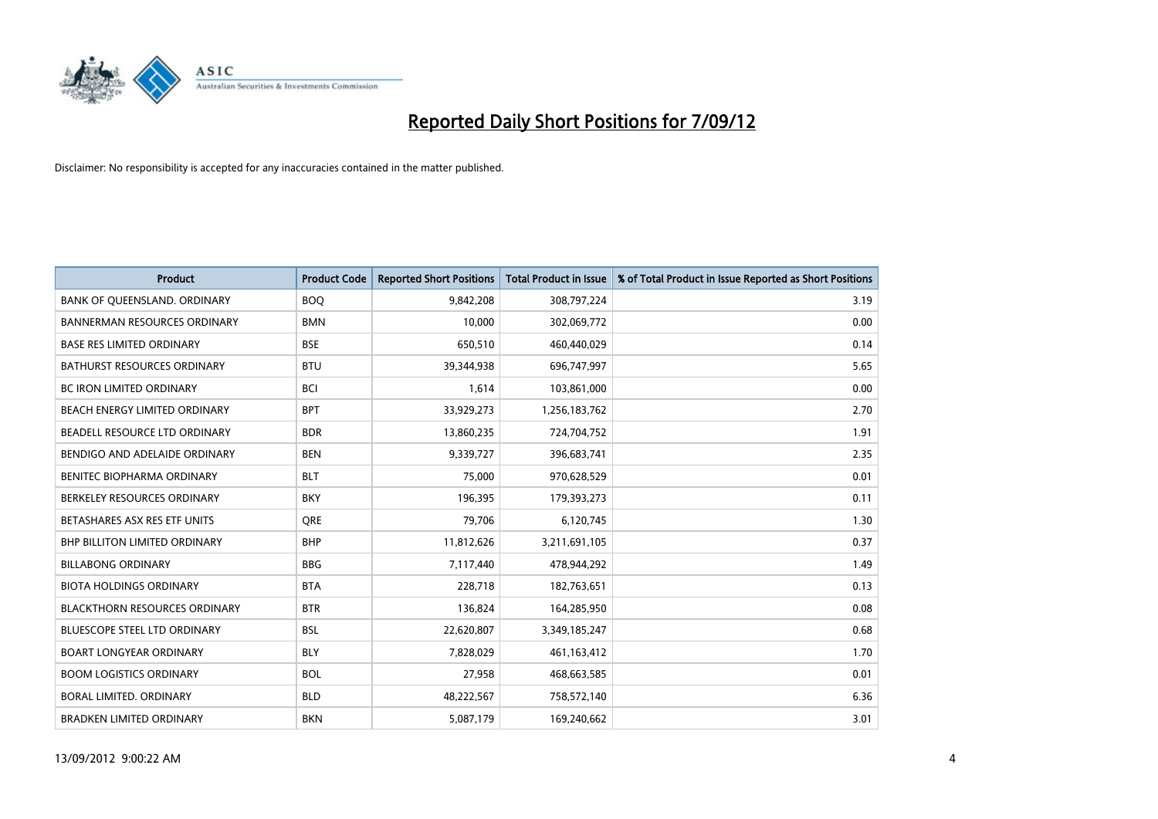

| <b>Product</b>                       | <b>Product Code</b> | <b>Reported Short Positions</b> | <b>Total Product in Issue</b> | % of Total Product in Issue Reported as Short Positions |
|--------------------------------------|---------------------|---------------------------------|-------------------------------|---------------------------------------------------------|
| BANK OF QUEENSLAND. ORDINARY         | <b>BOQ</b>          | 9,842,208                       | 308,797,224                   | 3.19                                                    |
| <b>BANNERMAN RESOURCES ORDINARY</b>  | <b>BMN</b>          | 10,000                          | 302,069,772                   | 0.00                                                    |
| <b>BASE RES LIMITED ORDINARY</b>     | <b>BSE</b>          | 650,510                         | 460,440,029                   | 0.14                                                    |
| BATHURST RESOURCES ORDINARY          | <b>BTU</b>          | 39,344,938                      | 696,747,997                   | 5.65                                                    |
| <b>BC IRON LIMITED ORDINARY</b>      | <b>BCI</b>          | 1,614                           | 103,861,000                   | 0.00                                                    |
| BEACH ENERGY LIMITED ORDINARY        | <b>BPT</b>          | 33,929,273                      | 1,256,183,762                 | 2.70                                                    |
| BEADELL RESOURCE LTD ORDINARY        | <b>BDR</b>          | 13,860,235                      | 724,704,752                   | 1.91                                                    |
| BENDIGO AND ADELAIDE ORDINARY        | <b>BEN</b>          | 9,339,727                       | 396,683,741                   | 2.35                                                    |
| BENITEC BIOPHARMA ORDINARY           | <b>BLT</b>          | 75,000                          | 970,628,529                   | 0.01                                                    |
| BERKELEY RESOURCES ORDINARY          | <b>BKY</b>          | 196,395                         | 179,393,273                   | 0.11                                                    |
| BETASHARES ASX RES ETF UNITS         | <b>ORE</b>          | 79,706                          | 6,120,745                     | 1.30                                                    |
| <b>BHP BILLITON LIMITED ORDINARY</b> | <b>BHP</b>          | 11,812,626                      | 3,211,691,105                 | 0.37                                                    |
| <b>BILLABONG ORDINARY</b>            | <b>BBG</b>          | 7,117,440                       | 478,944,292                   | 1.49                                                    |
| <b>BIOTA HOLDINGS ORDINARY</b>       | <b>BTA</b>          | 228,718                         | 182,763,651                   | 0.13                                                    |
| <b>BLACKTHORN RESOURCES ORDINARY</b> | <b>BTR</b>          | 136,824                         | 164,285,950                   | 0.08                                                    |
| BLUESCOPE STEEL LTD ORDINARY         | <b>BSL</b>          | 22,620,807                      | 3,349,185,247                 | 0.68                                                    |
| <b>BOART LONGYEAR ORDINARY</b>       | <b>BLY</b>          | 7,828,029                       | 461,163,412                   | 1.70                                                    |
| <b>BOOM LOGISTICS ORDINARY</b>       | <b>BOL</b>          | 27,958                          | 468,663,585                   | 0.01                                                    |
| BORAL LIMITED, ORDINARY              | <b>BLD</b>          | 48,222,567                      | 758,572,140                   | 6.36                                                    |
| <b>BRADKEN LIMITED ORDINARY</b>      | <b>BKN</b>          | 5,087,179                       | 169,240,662                   | 3.01                                                    |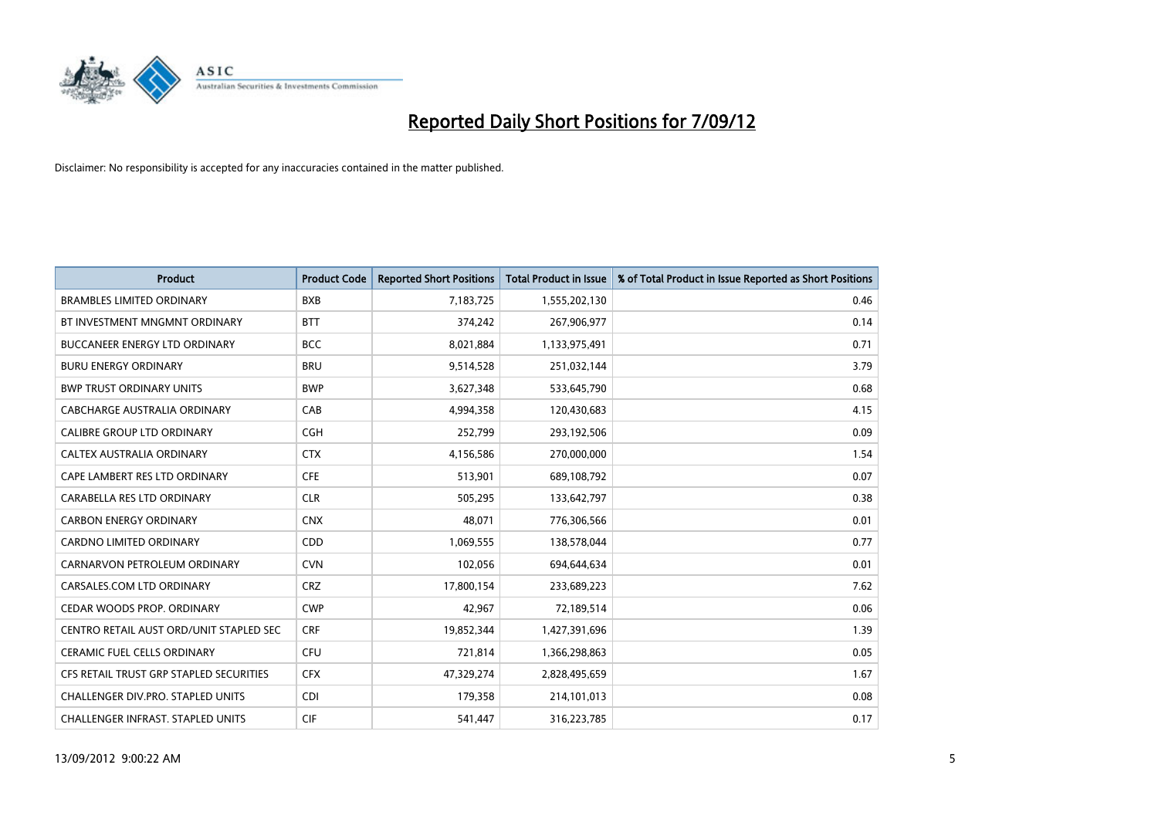

| <b>Product</b>                          | <b>Product Code</b> | <b>Reported Short Positions</b> | <b>Total Product in Issue</b> | % of Total Product in Issue Reported as Short Positions |
|-----------------------------------------|---------------------|---------------------------------|-------------------------------|---------------------------------------------------------|
| <b>BRAMBLES LIMITED ORDINARY</b>        | <b>BXB</b>          | 7,183,725                       | 1,555,202,130                 | 0.46                                                    |
| BT INVESTMENT MNGMNT ORDINARY           | <b>BTT</b>          | 374,242                         | 267,906,977                   | 0.14                                                    |
| <b>BUCCANEER ENERGY LTD ORDINARY</b>    | <b>BCC</b>          | 8,021,884                       | 1,133,975,491                 | 0.71                                                    |
| <b>BURU ENERGY ORDINARY</b>             | <b>BRU</b>          | 9,514,528                       | 251,032,144                   | 3.79                                                    |
| <b>BWP TRUST ORDINARY UNITS</b>         | <b>BWP</b>          | 3,627,348                       | 533,645,790                   | 0.68                                                    |
| CABCHARGE AUSTRALIA ORDINARY            | CAB                 | 4,994,358                       | 120,430,683                   | 4.15                                                    |
| <b>CALIBRE GROUP LTD ORDINARY</b>       | <b>CGH</b>          | 252,799                         | 293,192,506                   | 0.09                                                    |
| CALTEX AUSTRALIA ORDINARY               | <b>CTX</b>          | 4,156,586                       | 270,000,000                   | 1.54                                                    |
| CAPE LAMBERT RES LTD ORDINARY           | <b>CFE</b>          | 513,901                         | 689,108,792                   | 0.07                                                    |
| CARABELLA RES LTD ORDINARY              | <b>CLR</b>          | 505,295                         | 133,642,797                   | 0.38                                                    |
| <b>CARBON ENERGY ORDINARY</b>           | <b>CNX</b>          | 48,071                          | 776,306,566                   | 0.01                                                    |
| <b>CARDNO LIMITED ORDINARY</b>          | <b>CDD</b>          | 1,069,555                       | 138,578,044                   | 0.77                                                    |
| CARNARVON PETROLEUM ORDINARY            | <b>CVN</b>          | 102,056                         | 694,644,634                   | 0.01                                                    |
| CARSALES.COM LTD ORDINARY               | <b>CRZ</b>          | 17,800,154                      | 233,689,223                   | 7.62                                                    |
| CEDAR WOODS PROP. ORDINARY              | <b>CWP</b>          | 42,967                          | 72,189,514                    | 0.06                                                    |
| CENTRO RETAIL AUST ORD/UNIT STAPLED SEC | <b>CRF</b>          | 19,852,344                      | 1,427,391,696                 | 1.39                                                    |
| <b>CERAMIC FUEL CELLS ORDINARY</b>      | CFU                 | 721,814                         | 1,366,298,863                 | 0.05                                                    |
| CFS RETAIL TRUST GRP STAPLED SECURITIES | <b>CFX</b>          | 47,329,274                      | 2,828,495,659                 | 1.67                                                    |
| CHALLENGER DIV.PRO. STAPLED UNITS       | <b>CDI</b>          | 179,358                         | 214,101,013                   | 0.08                                                    |
| CHALLENGER INFRAST. STAPLED UNITS       | <b>CIF</b>          | 541,447                         | 316,223,785                   | 0.17                                                    |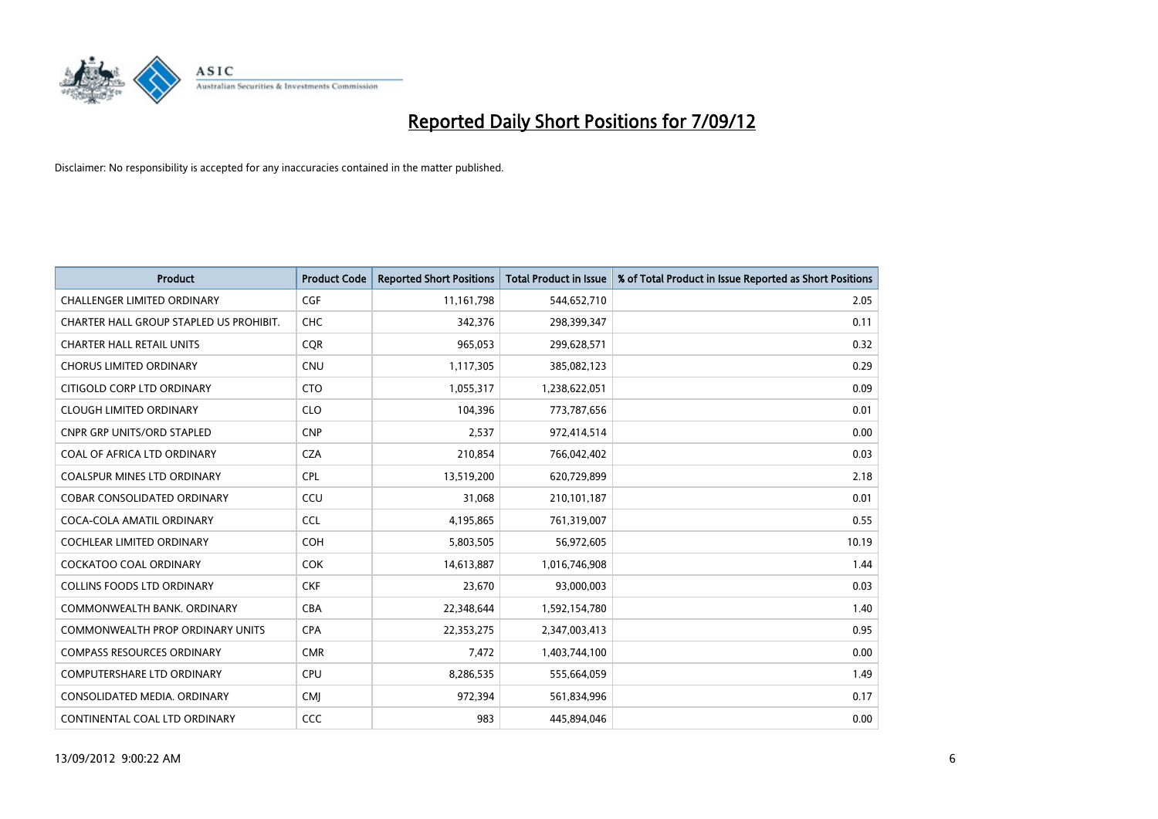

| <b>Product</b>                          | <b>Product Code</b> | <b>Reported Short Positions</b> | <b>Total Product in Issue</b> | % of Total Product in Issue Reported as Short Positions |
|-----------------------------------------|---------------------|---------------------------------|-------------------------------|---------------------------------------------------------|
| <b>CHALLENGER LIMITED ORDINARY</b>      | <b>CGF</b>          | 11,161,798                      | 544,652,710                   | 2.05                                                    |
| CHARTER HALL GROUP STAPLED US PROHIBIT. | <b>CHC</b>          | 342,376                         | 298,399,347                   | 0.11                                                    |
| <b>CHARTER HALL RETAIL UNITS</b>        | <b>COR</b>          | 965,053                         | 299,628,571                   | 0.32                                                    |
| <b>CHORUS LIMITED ORDINARY</b>          | <b>CNU</b>          | 1,117,305                       | 385,082,123                   | 0.29                                                    |
| CITIGOLD CORP LTD ORDINARY              | <b>CTO</b>          | 1,055,317                       | 1,238,622,051                 | 0.09                                                    |
| <b>CLOUGH LIMITED ORDINARY</b>          | <b>CLO</b>          | 104,396                         | 773,787,656                   | 0.01                                                    |
| <b>CNPR GRP UNITS/ORD STAPLED</b>       | <b>CNP</b>          | 2,537                           | 972,414,514                   | 0.00                                                    |
| COAL OF AFRICA LTD ORDINARY             | <b>CZA</b>          | 210,854                         | 766,042,402                   | 0.03                                                    |
| <b>COALSPUR MINES LTD ORDINARY</b>      | <b>CPL</b>          | 13,519,200                      | 620,729,899                   | 2.18                                                    |
| <b>COBAR CONSOLIDATED ORDINARY</b>      | CCU                 | 31,068                          | 210,101,187                   | 0.01                                                    |
| COCA-COLA AMATIL ORDINARY               | <b>CCL</b>          | 4,195,865                       | 761,319,007                   | 0.55                                                    |
| <b>COCHLEAR LIMITED ORDINARY</b>        | <b>COH</b>          | 5,803,505                       | 56,972,605                    | 10.19                                                   |
| COCKATOO COAL ORDINARY                  | <b>COK</b>          | 14,613,887                      | 1,016,746,908                 | 1.44                                                    |
| <b>COLLINS FOODS LTD ORDINARY</b>       | <b>CKF</b>          | 23,670                          | 93,000,003                    | 0.03                                                    |
| COMMONWEALTH BANK, ORDINARY             | <b>CBA</b>          | 22,348,644                      | 1,592,154,780                 | 1.40                                                    |
| <b>COMMONWEALTH PROP ORDINARY UNITS</b> | <b>CPA</b>          | 22,353,275                      | 2,347,003,413                 | 0.95                                                    |
| <b>COMPASS RESOURCES ORDINARY</b>       | <b>CMR</b>          | 7,472                           | 1,403,744,100                 | 0.00                                                    |
| COMPUTERSHARE LTD ORDINARY              | CPU                 | 8,286,535                       | 555,664,059                   | 1.49                                                    |
| CONSOLIDATED MEDIA, ORDINARY            | <b>CMI</b>          | 972,394                         | 561,834,996                   | 0.17                                                    |
| CONTINENTAL COAL LTD ORDINARY           | CCC                 | 983                             | 445,894,046                   | 0.00                                                    |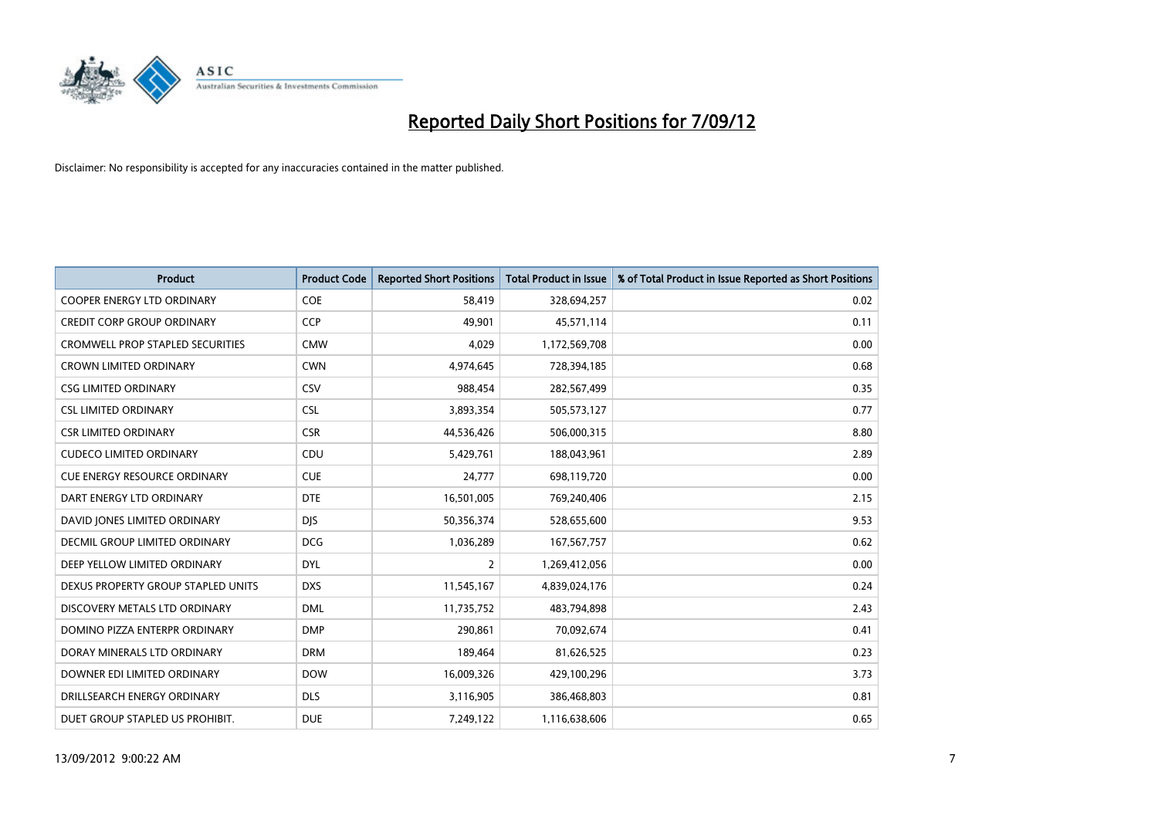

| <b>Product</b>                          | <b>Product Code</b> | <b>Reported Short Positions</b> | <b>Total Product in Issue</b> | % of Total Product in Issue Reported as Short Positions |
|-----------------------------------------|---------------------|---------------------------------|-------------------------------|---------------------------------------------------------|
| <b>COOPER ENERGY LTD ORDINARY</b>       | <b>COE</b>          | 58,419                          | 328,694,257                   | 0.02                                                    |
| <b>CREDIT CORP GROUP ORDINARY</b>       | <b>CCP</b>          | 49,901                          | 45,571,114                    | 0.11                                                    |
| <b>CROMWELL PROP STAPLED SECURITIES</b> | <b>CMW</b>          | 4,029                           | 1,172,569,708                 | 0.00                                                    |
| <b>CROWN LIMITED ORDINARY</b>           | <b>CWN</b>          | 4,974,645                       | 728,394,185                   | 0.68                                                    |
| <b>CSG LIMITED ORDINARY</b>             | CSV                 | 988,454                         | 282,567,499                   | 0.35                                                    |
| <b>CSL LIMITED ORDINARY</b>             | <b>CSL</b>          | 3,893,354                       | 505,573,127                   | 0.77                                                    |
| <b>CSR LIMITED ORDINARY</b>             | <b>CSR</b>          | 44,536,426                      | 506,000,315                   | 8.80                                                    |
| <b>CUDECO LIMITED ORDINARY</b>          | CDU                 | 5,429,761                       | 188,043,961                   | 2.89                                                    |
| CUE ENERGY RESOURCE ORDINARY            | <b>CUE</b>          | 24,777                          | 698,119,720                   | 0.00                                                    |
| DART ENERGY LTD ORDINARY                | <b>DTE</b>          | 16,501,005                      | 769,240,406                   | 2.15                                                    |
| DAVID JONES LIMITED ORDINARY            | <b>DJS</b>          | 50,356,374                      | 528,655,600                   | 9.53                                                    |
| DECMIL GROUP LIMITED ORDINARY           | <b>DCG</b>          | 1,036,289                       | 167,567,757                   | 0.62                                                    |
| DEEP YELLOW LIMITED ORDINARY            | <b>DYL</b>          | 2                               | 1,269,412,056                 | 0.00                                                    |
| DEXUS PROPERTY GROUP STAPLED UNITS      | <b>DXS</b>          | 11,545,167                      | 4,839,024,176                 | 0.24                                                    |
| DISCOVERY METALS LTD ORDINARY           | <b>DML</b>          | 11,735,752                      | 483,794,898                   | 2.43                                                    |
| DOMINO PIZZA ENTERPR ORDINARY           | <b>DMP</b>          | 290,861                         | 70,092,674                    | 0.41                                                    |
| DORAY MINERALS LTD ORDINARY             | <b>DRM</b>          | 189,464                         | 81,626,525                    | 0.23                                                    |
| DOWNER EDI LIMITED ORDINARY             | <b>DOW</b>          | 16,009,326                      | 429,100,296                   | 3.73                                                    |
| DRILLSEARCH ENERGY ORDINARY             | <b>DLS</b>          | 3,116,905                       | 386,468,803                   | 0.81                                                    |
| DUET GROUP STAPLED US PROHIBIT.         | <b>DUE</b>          | 7,249,122                       | 1,116,638,606                 | 0.65                                                    |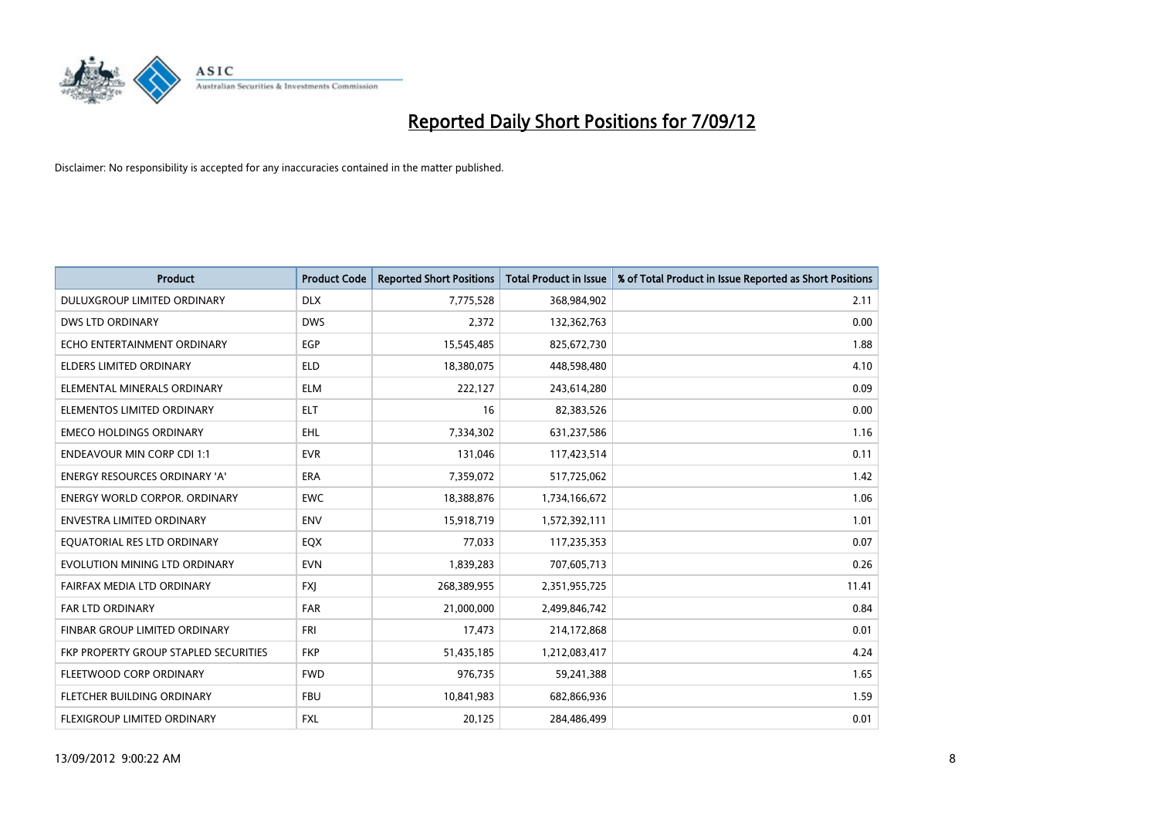

| <b>Product</b>                        | <b>Product Code</b> | <b>Reported Short Positions</b> | <b>Total Product in Issue</b> | % of Total Product in Issue Reported as Short Positions |
|---------------------------------------|---------------------|---------------------------------|-------------------------------|---------------------------------------------------------|
| DULUXGROUP LIMITED ORDINARY           | <b>DLX</b>          | 7,775,528                       | 368,984,902                   | 2.11                                                    |
| DWS LTD ORDINARY                      | <b>DWS</b>          | 2,372                           | 132,362,763                   | 0.00                                                    |
| ECHO ENTERTAINMENT ORDINARY           | EGP                 | 15,545,485                      | 825,672,730                   | 1.88                                                    |
| ELDERS LIMITED ORDINARY               | <b>ELD</b>          | 18,380,075                      | 448,598,480                   | 4.10                                                    |
| ELEMENTAL MINERALS ORDINARY           | <b>ELM</b>          | 222,127                         | 243,614,280                   | 0.09                                                    |
| ELEMENTOS LIMITED ORDINARY            | <b>ELT</b>          | 16                              | 82,383,526                    | 0.00                                                    |
| <b>EMECO HOLDINGS ORDINARY</b>        | <b>EHL</b>          | 7,334,302                       | 631,237,586                   | 1.16                                                    |
| <b>ENDEAVOUR MIN CORP CDI 1:1</b>     | <b>EVR</b>          | 131,046                         | 117,423,514                   | 0.11                                                    |
| ENERGY RESOURCES ORDINARY 'A'         | ERA                 | 7,359,072                       | 517,725,062                   | 1.42                                                    |
| <b>ENERGY WORLD CORPOR, ORDINARY</b>  | <b>EWC</b>          | 18,388,876                      | 1,734,166,672                 | 1.06                                                    |
| ENVESTRA LIMITED ORDINARY             | <b>ENV</b>          | 15,918,719                      | 1,572,392,111                 | 1.01                                                    |
| EQUATORIAL RES LTD ORDINARY           | <b>EQX</b>          | 77,033                          | 117,235,353                   | 0.07                                                    |
| EVOLUTION MINING LTD ORDINARY         | <b>EVN</b>          | 1,839,283                       | 707,605,713                   | 0.26                                                    |
| FAIRFAX MEDIA LTD ORDINARY            | <b>FXI</b>          | 268,389,955                     | 2,351,955,725                 | 11.41                                                   |
| <b>FAR LTD ORDINARY</b>               | <b>FAR</b>          | 21,000,000                      | 2,499,846,742                 | 0.84                                                    |
| FINBAR GROUP LIMITED ORDINARY         | <b>FRI</b>          | 17,473                          | 214,172,868                   | 0.01                                                    |
| FKP PROPERTY GROUP STAPLED SECURITIES | <b>FKP</b>          | 51,435,185                      | 1,212,083,417                 | 4.24                                                    |
| FLEETWOOD CORP ORDINARY               | <b>FWD</b>          | 976,735                         | 59,241,388                    | 1.65                                                    |
| FLETCHER BUILDING ORDINARY            | <b>FBU</b>          | 10,841,983                      | 682,866,936                   | 1.59                                                    |
| <b>FLEXIGROUP LIMITED ORDINARY</b>    | <b>FXL</b>          | 20.125                          | 284.486.499                   | 0.01                                                    |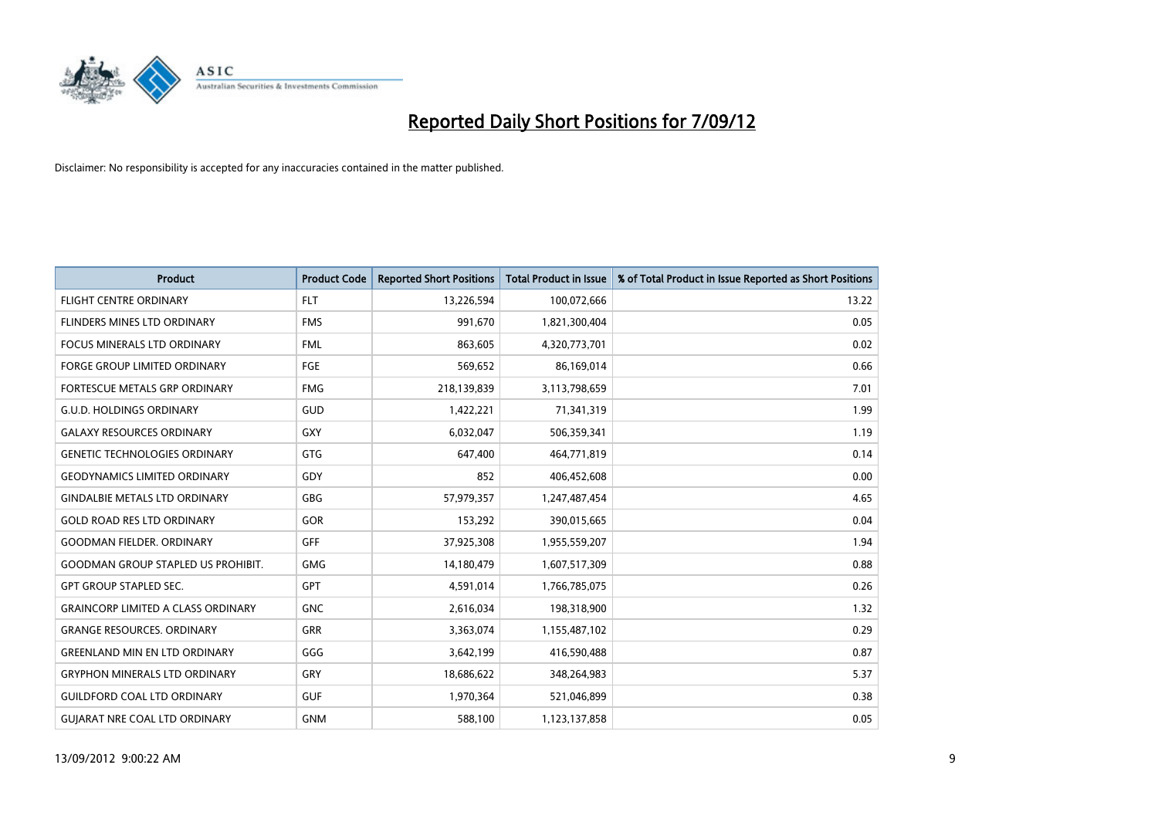

| <b>Product</b>                            | <b>Product Code</b> | <b>Reported Short Positions</b> | <b>Total Product in Issue</b> | % of Total Product in Issue Reported as Short Positions |
|-------------------------------------------|---------------------|---------------------------------|-------------------------------|---------------------------------------------------------|
| <b>FLIGHT CENTRE ORDINARY</b>             | FLT.                | 13,226,594                      | 100,072,666                   | 13.22                                                   |
| FLINDERS MINES LTD ORDINARY               | <b>FMS</b>          | 991,670                         | 1,821,300,404                 | 0.05                                                    |
| <b>FOCUS MINERALS LTD ORDINARY</b>        | <b>FML</b>          | 863,605                         | 4,320,773,701                 | 0.02                                                    |
| FORGE GROUP LIMITED ORDINARY              | FGE                 | 569,652                         | 86,169,014                    | 0.66                                                    |
| FORTESCUE METALS GRP ORDINARY             | <b>FMG</b>          | 218,139,839                     | 3,113,798,659                 | 7.01                                                    |
| <b>G.U.D. HOLDINGS ORDINARY</b>           | GUD                 | 1,422,221                       | 71,341,319                    | 1.99                                                    |
| <b>GALAXY RESOURCES ORDINARY</b>          | <b>GXY</b>          | 6,032,047                       | 506,359,341                   | 1.19                                                    |
| <b>GENETIC TECHNOLOGIES ORDINARY</b>      | <b>GTG</b>          | 647,400                         | 464,771,819                   | 0.14                                                    |
| <b>GEODYNAMICS LIMITED ORDINARY</b>       | GDY                 | 852                             | 406,452,608                   | 0.00                                                    |
| <b>GINDALBIE METALS LTD ORDINARY</b>      | GBG                 | 57,979,357                      | 1,247,487,454                 | 4.65                                                    |
| <b>GOLD ROAD RES LTD ORDINARY</b>         | GOR                 | 153,292                         | 390,015,665                   | 0.04                                                    |
| <b>GOODMAN FIELDER, ORDINARY</b>          | GFF                 | 37,925,308                      | 1,955,559,207                 | 1.94                                                    |
| <b>GOODMAN GROUP STAPLED US PROHIBIT.</b> | <b>GMG</b>          | 14,180,479                      | 1,607,517,309                 | 0.88                                                    |
| <b>GPT GROUP STAPLED SEC.</b>             | <b>GPT</b>          | 4,591,014                       | 1,766,785,075                 | 0.26                                                    |
| <b>GRAINCORP LIMITED A CLASS ORDINARY</b> | <b>GNC</b>          | 2,616,034                       | 198,318,900                   | 1.32                                                    |
| <b>GRANGE RESOURCES. ORDINARY</b>         | GRR                 | 3,363,074                       | 1,155,487,102                 | 0.29                                                    |
| <b>GREENLAND MIN EN LTD ORDINARY</b>      | GGG                 | 3,642,199                       | 416,590,488                   | 0.87                                                    |
| <b>GRYPHON MINERALS LTD ORDINARY</b>      | GRY                 | 18,686,622                      | 348,264,983                   | 5.37                                                    |
| <b>GUILDFORD COAL LTD ORDINARY</b>        | <b>GUF</b>          | 1,970,364                       | 521,046,899                   | 0.38                                                    |
| <b>GUIARAT NRE COAL LTD ORDINARY</b>      | <b>GNM</b>          | 588.100                         | 1,123,137,858                 | 0.05                                                    |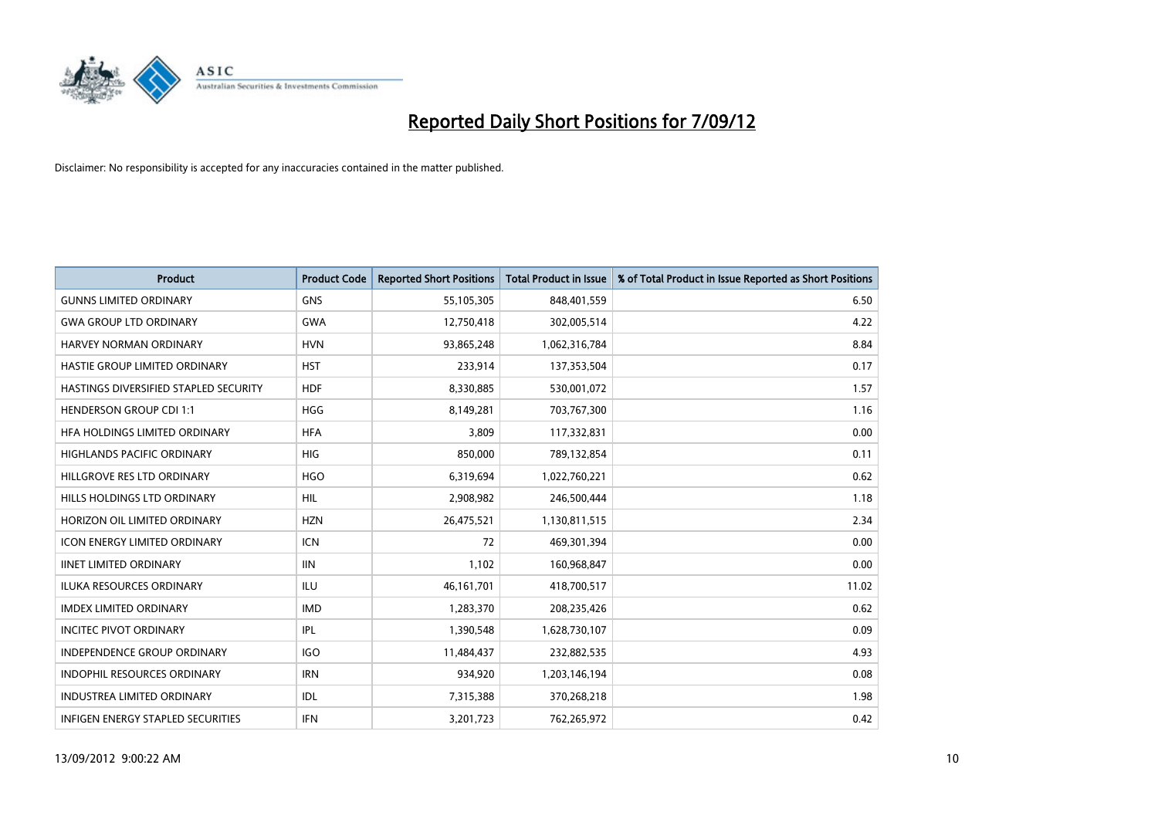

| <b>Product</b>                           | <b>Product Code</b> | <b>Reported Short Positions</b> | <b>Total Product in Issue</b> | % of Total Product in Issue Reported as Short Positions |
|------------------------------------------|---------------------|---------------------------------|-------------------------------|---------------------------------------------------------|
| <b>GUNNS LIMITED ORDINARY</b>            | <b>GNS</b>          | 55,105,305                      | 848,401,559                   | 6.50                                                    |
| <b>GWA GROUP LTD ORDINARY</b>            | <b>GWA</b>          | 12,750,418                      | 302,005,514                   | 4.22                                                    |
| HARVEY NORMAN ORDINARY                   | <b>HVN</b>          | 93,865,248                      | 1,062,316,784                 | 8.84                                                    |
| HASTIE GROUP LIMITED ORDINARY            | <b>HST</b>          | 233,914                         | 137,353,504                   | 0.17                                                    |
| HASTINGS DIVERSIFIED STAPLED SECURITY    | <b>HDF</b>          | 8,330,885                       | 530,001,072                   | 1.57                                                    |
| <b>HENDERSON GROUP CDI 1:1</b>           | <b>HGG</b>          | 8,149,281                       | 703,767,300                   | 1.16                                                    |
| HFA HOLDINGS LIMITED ORDINARY            | <b>HFA</b>          | 3.809                           | 117,332,831                   | 0.00                                                    |
| <b>HIGHLANDS PACIFIC ORDINARY</b>        | <b>HIG</b>          | 850,000                         | 789,132,854                   | 0.11                                                    |
| HILLGROVE RES LTD ORDINARY               | <b>HGO</b>          | 6,319,694                       | 1,022,760,221                 | 0.62                                                    |
| HILLS HOLDINGS LTD ORDINARY              | <b>HIL</b>          | 2,908,982                       | 246,500,444                   | 1.18                                                    |
| HORIZON OIL LIMITED ORDINARY             | <b>HZN</b>          | 26,475,521                      | 1,130,811,515                 | 2.34                                                    |
| <b>ICON ENERGY LIMITED ORDINARY</b>      | <b>ICN</b>          | 72                              | 469,301,394                   | 0.00                                                    |
| <b>IINET LIMITED ORDINARY</b>            | <b>IIN</b>          | 1,102                           | 160,968,847                   | 0.00                                                    |
| <b>ILUKA RESOURCES ORDINARY</b>          | ILU                 | 46, 161, 701                    | 418,700,517                   | 11.02                                                   |
| IMDEX LIMITED ORDINARY                   | <b>IMD</b>          | 1,283,370                       | 208,235,426                   | 0.62                                                    |
| <b>INCITEC PIVOT ORDINARY</b>            | <b>IPL</b>          | 1,390,548                       | 1,628,730,107                 | 0.09                                                    |
| <b>INDEPENDENCE GROUP ORDINARY</b>       | <b>IGO</b>          | 11,484,437                      | 232,882,535                   | 4.93                                                    |
| INDOPHIL RESOURCES ORDINARY              | <b>IRN</b>          | 934,920                         | 1,203,146,194                 | 0.08                                                    |
| <b>INDUSTREA LIMITED ORDINARY</b>        | <b>IDL</b>          | 7,315,388                       | 370,268,218                   | 1.98                                                    |
| <b>INFIGEN ENERGY STAPLED SECURITIES</b> | <b>IFN</b>          | 3,201,723                       | 762,265,972                   | 0.42                                                    |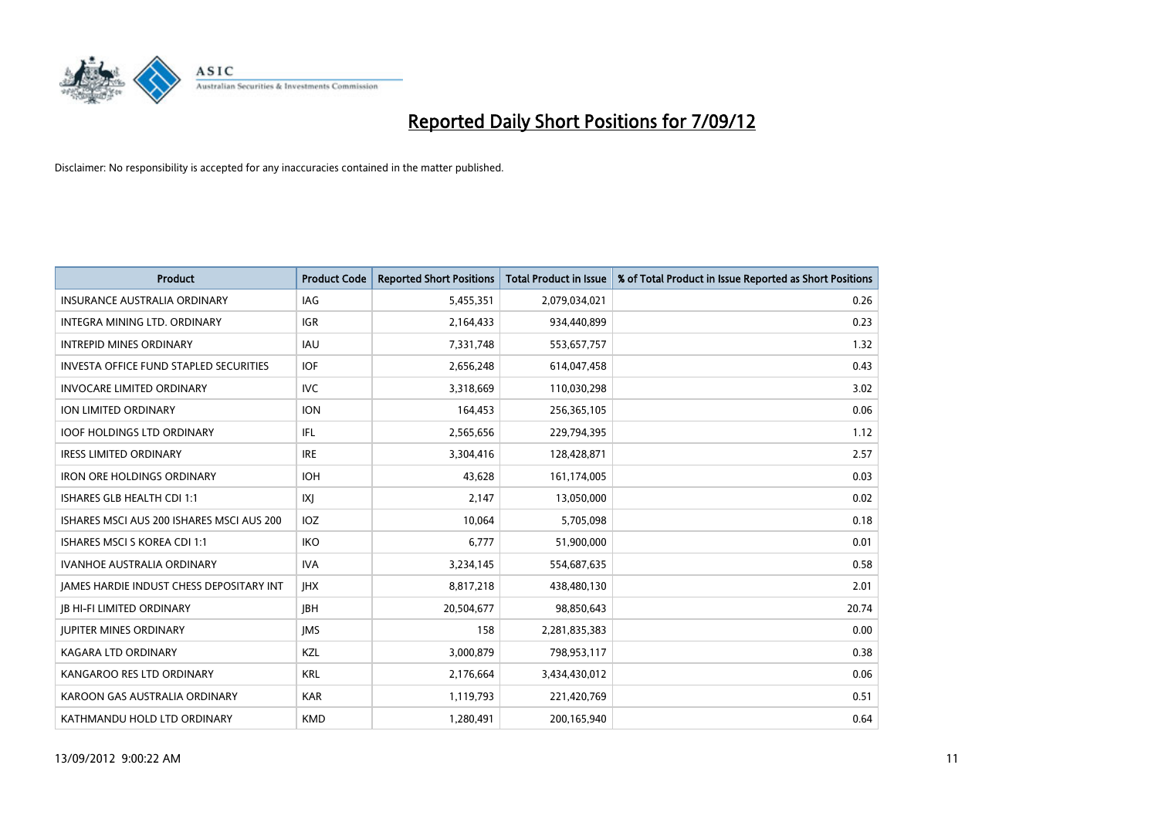

| <b>Product</b>                                  | <b>Product Code</b> | <b>Reported Short Positions</b> | <b>Total Product in Issue</b> | % of Total Product in Issue Reported as Short Positions |
|-------------------------------------------------|---------------------|---------------------------------|-------------------------------|---------------------------------------------------------|
| <b>INSURANCE AUSTRALIA ORDINARY</b>             | IAG                 | 5,455,351                       | 2,079,034,021                 | 0.26                                                    |
| INTEGRA MINING LTD. ORDINARY                    | <b>IGR</b>          | 2,164,433                       | 934,440,899                   | 0.23                                                    |
| <b>INTREPID MINES ORDINARY</b>                  | <b>IAU</b>          | 7,331,748                       | 553,657,757                   | 1.32                                                    |
| INVESTA OFFICE FUND STAPLED SECURITIES          | <b>IOF</b>          | 2,656,248                       | 614,047,458                   | 0.43                                                    |
| <b>INVOCARE LIMITED ORDINARY</b>                | IVC                 | 3,318,669                       | 110,030,298                   | 3.02                                                    |
| ION LIMITED ORDINARY                            | <b>ION</b>          | 164,453                         | 256,365,105                   | 0.06                                                    |
| <b>IOOF HOLDINGS LTD ORDINARY</b>               | IFL                 | 2,565,656                       | 229,794,395                   | 1.12                                                    |
| <b>IRESS LIMITED ORDINARY</b>                   | <b>IRE</b>          | 3,304,416                       | 128,428,871                   | 2.57                                                    |
| <b>IRON ORE HOLDINGS ORDINARY</b>               | <b>IOH</b>          | 43,628                          | 161,174,005                   | 0.03                                                    |
| ISHARES GLB HEALTH CDI 1:1                      | X                   | 2,147                           | 13,050,000                    | 0.02                                                    |
| ISHARES MSCI AUS 200 ISHARES MSCI AUS 200       | <b>IOZ</b>          | 10,064                          | 5,705,098                     | 0.18                                                    |
| <b>ISHARES MSCI S KOREA CDI 1:1</b>             | <b>IKO</b>          | 6,777                           | 51,900,000                    | 0.01                                                    |
| <b>IVANHOE AUSTRALIA ORDINARY</b>               | <b>IVA</b>          | 3,234,145                       | 554,687,635                   | 0.58                                                    |
| <b>JAMES HARDIE INDUST CHESS DEPOSITARY INT</b> | <b>IHX</b>          | 8,817,218                       | 438,480,130                   | 2.01                                                    |
| <b>JB HI-FI LIMITED ORDINARY</b>                | <b>IBH</b>          | 20,504,677                      | 98,850,643                    | 20.74                                                   |
| <b>JUPITER MINES ORDINARY</b>                   | <b>IMS</b>          | 158                             | 2,281,835,383                 | 0.00                                                    |
| KAGARA LTD ORDINARY                             | <b>KZL</b>          | 3,000,879                       | 798,953,117                   | 0.38                                                    |
| KANGAROO RES LTD ORDINARY                       | <b>KRL</b>          | 2,176,664                       | 3,434,430,012                 | 0.06                                                    |
| KAROON GAS AUSTRALIA ORDINARY                   | <b>KAR</b>          | 1,119,793                       | 221,420,769                   | 0.51                                                    |
| KATHMANDU HOLD LTD ORDINARY                     | <b>KMD</b>          | 1,280,491                       | 200,165,940                   | 0.64                                                    |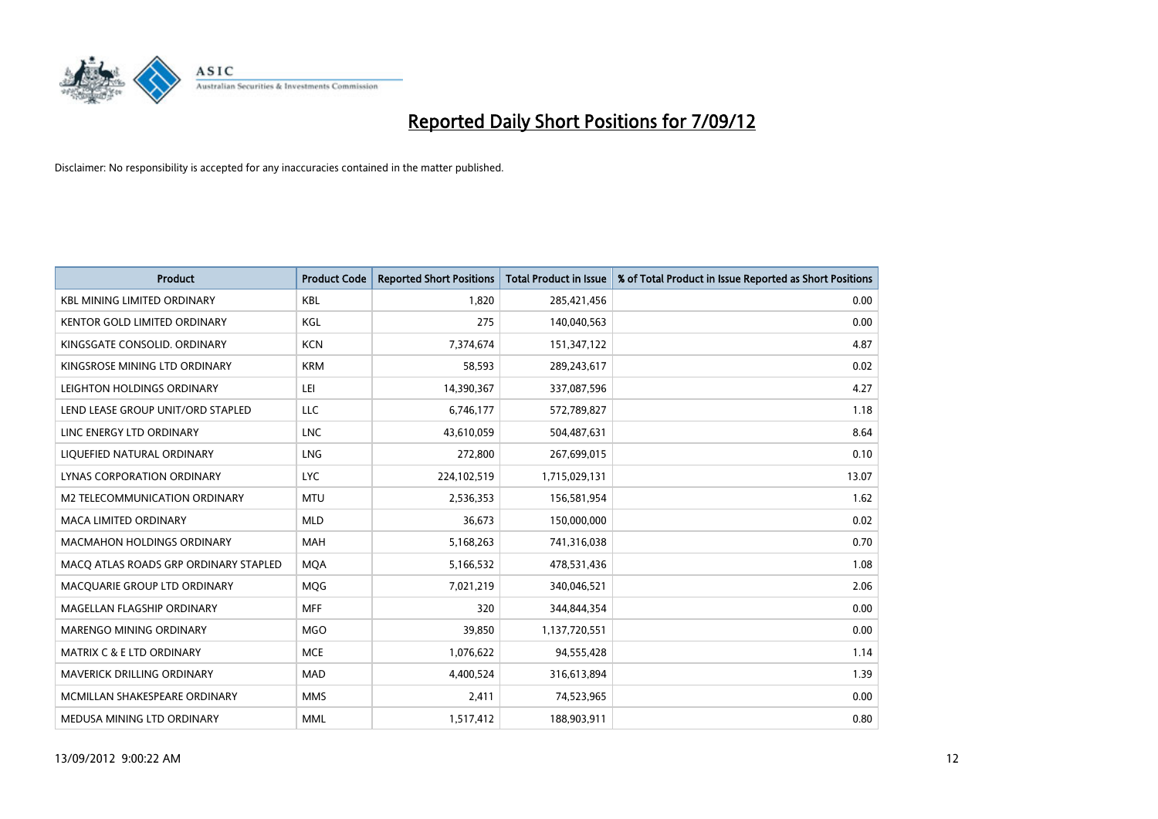

| <b>Product</b>                        | <b>Product Code</b> | <b>Reported Short Positions</b> | <b>Total Product in Issue</b> | % of Total Product in Issue Reported as Short Positions |
|---------------------------------------|---------------------|---------------------------------|-------------------------------|---------------------------------------------------------|
| <b>KBL MINING LIMITED ORDINARY</b>    | <b>KBL</b>          | 1.820                           | 285,421,456                   | 0.00                                                    |
| KENTOR GOLD LIMITED ORDINARY          | KGL                 | 275                             | 140,040,563                   | 0.00                                                    |
| KINGSGATE CONSOLID. ORDINARY          | <b>KCN</b>          | 7,374,674                       | 151,347,122                   | 4.87                                                    |
| KINGSROSE MINING LTD ORDINARY         | <b>KRM</b>          | 58,593                          | 289,243,617                   | 0.02                                                    |
| LEIGHTON HOLDINGS ORDINARY            | LEI                 | 14,390,367                      | 337,087,596                   | 4.27                                                    |
| LEND LEASE GROUP UNIT/ORD STAPLED     | LLC                 | 6,746,177                       | 572,789,827                   | 1.18                                                    |
| LINC ENERGY LTD ORDINARY              | <b>LNC</b>          | 43,610,059                      | 504,487,631                   | 8.64                                                    |
| LIQUEFIED NATURAL ORDINARY            | <b>LNG</b>          | 272,800                         | 267,699,015                   | 0.10                                                    |
| LYNAS CORPORATION ORDINARY            | <b>LYC</b>          | 224,102,519                     | 1,715,029,131                 | 13.07                                                   |
| <b>M2 TELECOMMUNICATION ORDINARY</b>  | <b>MTU</b>          | 2,536,353                       | 156,581,954                   | 1.62                                                    |
| MACA LIMITED ORDINARY                 | <b>MLD</b>          | 36,673                          | 150,000,000                   | 0.02                                                    |
| <b>MACMAHON HOLDINGS ORDINARY</b>     | <b>MAH</b>          | 5,168,263                       | 741,316,038                   | 0.70                                                    |
| MACQ ATLAS ROADS GRP ORDINARY STAPLED | <b>MQA</b>          | 5,166,532                       | 478,531,436                   | 1.08                                                    |
| MACQUARIE GROUP LTD ORDINARY          | <b>MOG</b>          | 7,021,219                       | 340,046,521                   | 2.06                                                    |
| MAGELLAN FLAGSHIP ORDINARY            | <b>MFF</b>          | 320                             | 344,844,354                   | 0.00                                                    |
| MARENGO MINING ORDINARY               | <b>MGO</b>          | 39,850                          | 1,137,720,551                 | 0.00                                                    |
| <b>MATRIX C &amp; E LTD ORDINARY</b>  | <b>MCE</b>          | 1,076,622                       | 94,555,428                    | 1.14                                                    |
| MAVERICK DRILLING ORDINARY            | <b>MAD</b>          | 4,400,524                       | 316,613,894                   | 1.39                                                    |
| MCMILLAN SHAKESPEARE ORDINARY         | <b>MMS</b>          | 2,411                           | 74,523,965                    | 0.00                                                    |
| MEDUSA MINING LTD ORDINARY            | <b>MML</b>          | 1,517,412                       | 188,903,911                   | 0.80                                                    |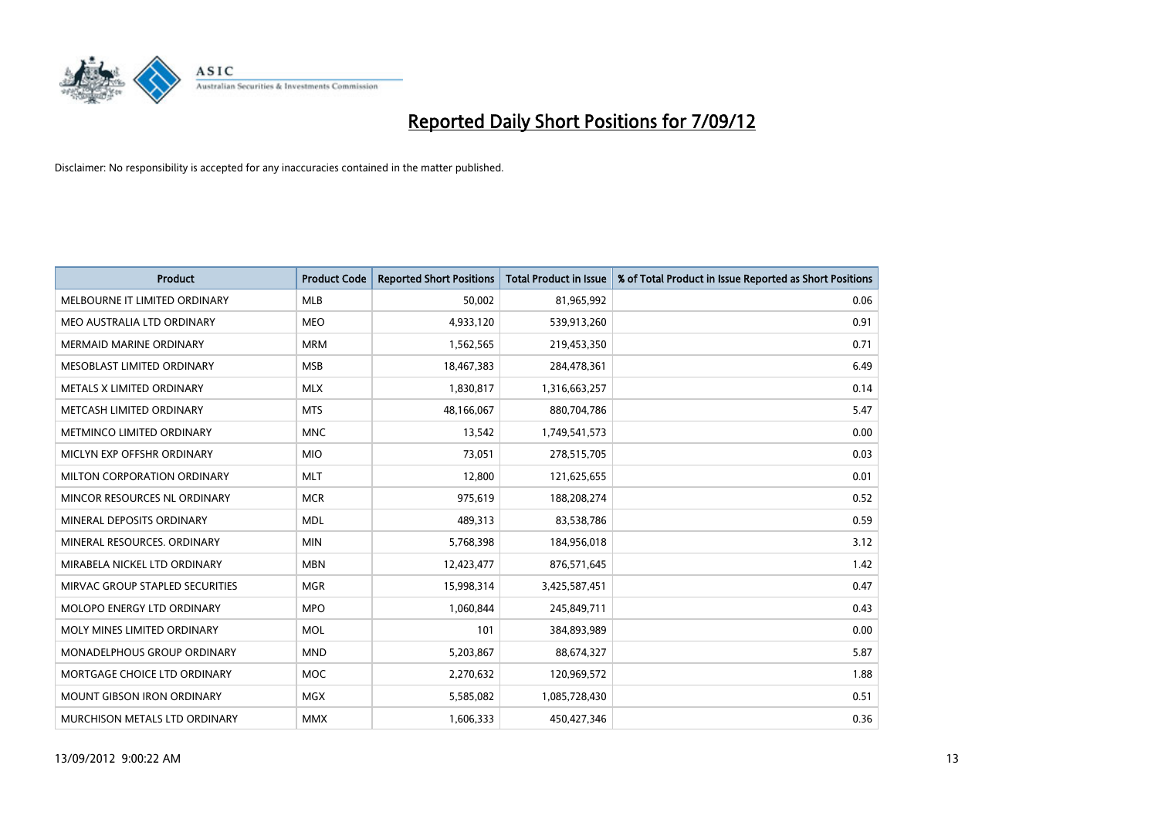

| <b>Product</b>                    | <b>Product Code</b> | <b>Reported Short Positions</b> | <b>Total Product in Issue</b> | % of Total Product in Issue Reported as Short Positions |
|-----------------------------------|---------------------|---------------------------------|-------------------------------|---------------------------------------------------------|
| MELBOURNE IT LIMITED ORDINARY     | <b>MLB</b>          | 50.002                          | 81,965,992                    | 0.06                                                    |
| MEO AUSTRALIA LTD ORDINARY        | <b>MEO</b>          | 4,933,120                       | 539,913,260                   | 0.91                                                    |
| <b>MERMAID MARINE ORDINARY</b>    | <b>MRM</b>          | 1,562,565                       | 219,453,350                   | 0.71                                                    |
| MESOBLAST LIMITED ORDINARY        | <b>MSB</b>          | 18,467,383                      | 284,478,361                   | 6.49                                                    |
| METALS X LIMITED ORDINARY         | <b>MLX</b>          | 1,830,817                       | 1,316,663,257                 | 0.14                                                    |
| METCASH LIMITED ORDINARY          | <b>MTS</b>          | 48,166,067                      | 880,704,786                   | 5.47                                                    |
| METMINCO LIMITED ORDINARY         | <b>MNC</b>          | 13,542                          | 1,749,541,573                 | 0.00                                                    |
| MICLYN EXP OFFSHR ORDINARY        | <b>MIO</b>          | 73,051                          | 278,515,705                   | 0.03                                                    |
| MILTON CORPORATION ORDINARY       | <b>MLT</b>          | 12,800                          | 121,625,655                   | 0.01                                                    |
| MINCOR RESOURCES NL ORDINARY      | <b>MCR</b>          | 975,619                         | 188,208,274                   | 0.52                                                    |
| MINERAL DEPOSITS ORDINARY         | <b>MDL</b>          | 489,313                         | 83,538,786                    | 0.59                                                    |
| MINERAL RESOURCES, ORDINARY       | <b>MIN</b>          | 5,768,398                       | 184,956,018                   | 3.12                                                    |
| MIRABELA NICKEL LTD ORDINARY      | <b>MBN</b>          | 12,423,477                      | 876,571,645                   | 1.42                                                    |
| MIRVAC GROUP STAPLED SECURITIES   | <b>MGR</b>          | 15,998,314                      | 3,425,587,451                 | 0.47                                                    |
| MOLOPO ENERGY LTD ORDINARY        | <b>MPO</b>          | 1,060,844                       | 245,849,711                   | 0.43                                                    |
| MOLY MINES LIMITED ORDINARY       | <b>MOL</b>          | 101                             | 384,893,989                   | 0.00                                                    |
| MONADELPHOUS GROUP ORDINARY       | <b>MND</b>          | 5,203,867                       | 88,674,327                    | 5.87                                                    |
| MORTGAGE CHOICE LTD ORDINARY      | <b>MOC</b>          | 2,270,632                       | 120,969,572                   | 1.88                                                    |
| <b>MOUNT GIBSON IRON ORDINARY</b> | <b>MGX</b>          | 5,585,082                       | 1,085,728,430                 | 0.51                                                    |
| MURCHISON METALS LTD ORDINARY     | <b>MMX</b>          | 1,606,333                       | 450,427,346                   | 0.36                                                    |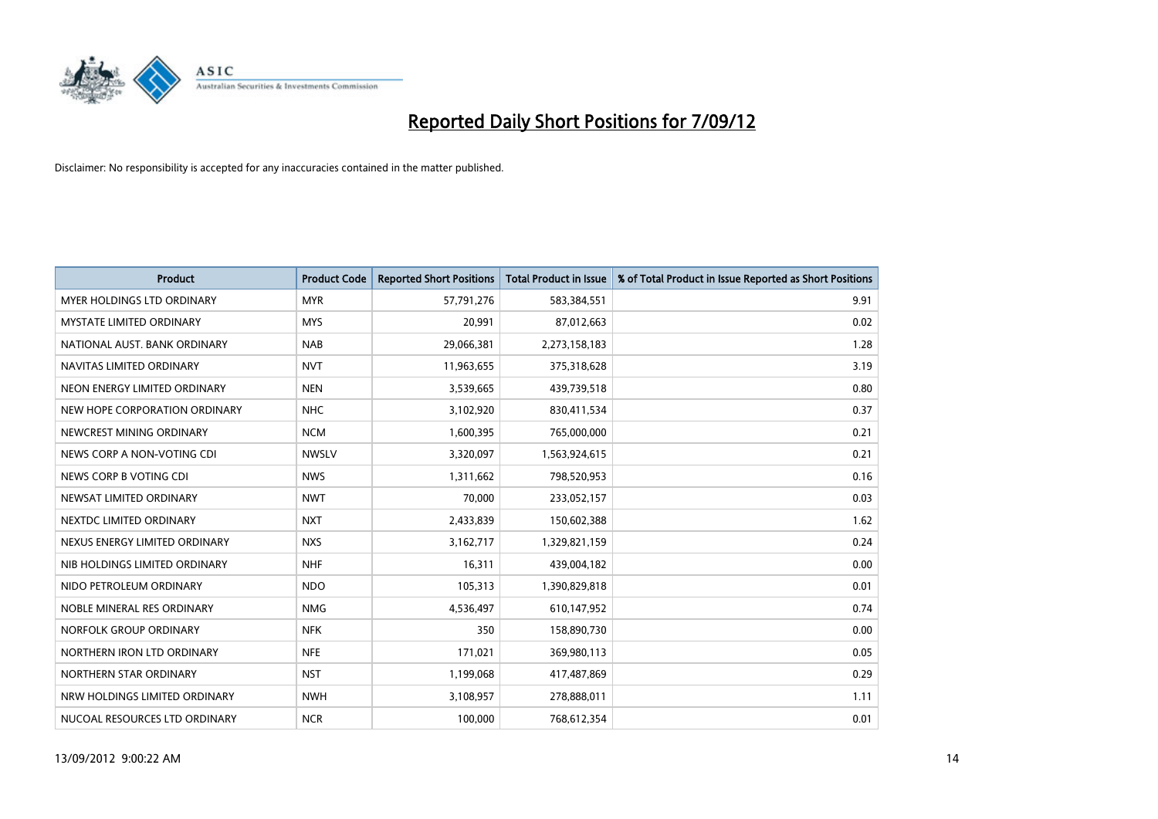

| <b>Product</b>                    | <b>Product Code</b> | <b>Reported Short Positions</b> | <b>Total Product in Issue</b> | % of Total Product in Issue Reported as Short Positions |
|-----------------------------------|---------------------|---------------------------------|-------------------------------|---------------------------------------------------------|
| <b>MYER HOLDINGS LTD ORDINARY</b> | <b>MYR</b>          | 57,791,276                      | 583,384,551                   | 9.91                                                    |
| MYSTATE LIMITED ORDINARY          | <b>MYS</b>          | 20,991                          | 87,012,663                    | 0.02                                                    |
| NATIONAL AUST. BANK ORDINARY      | <b>NAB</b>          | 29,066,381                      | 2,273,158,183                 | 1.28                                                    |
| NAVITAS LIMITED ORDINARY          | <b>NVT</b>          | 11,963,655                      | 375,318,628                   | 3.19                                                    |
| NEON ENERGY LIMITED ORDINARY      | <b>NEN</b>          | 3,539,665                       | 439,739,518                   | 0.80                                                    |
| NEW HOPE CORPORATION ORDINARY     | <b>NHC</b>          | 3,102,920                       | 830,411,534                   | 0.37                                                    |
| NEWCREST MINING ORDINARY          | <b>NCM</b>          | 1,600,395                       | 765,000,000                   | 0.21                                                    |
| NEWS CORP A NON-VOTING CDI        | <b>NWSLV</b>        | 3,320,097                       | 1,563,924,615                 | 0.21                                                    |
| NEWS CORP B VOTING CDI            | <b>NWS</b>          | 1,311,662                       | 798,520,953                   | 0.16                                                    |
| NEWSAT LIMITED ORDINARY           | <b>NWT</b>          | 70,000                          | 233,052,157                   | 0.03                                                    |
| NEXTDC LIMITED ORDINARY           | <b>NXT</b>          | 2,433,839                       | 150,602,388                   | 1.62                                                    |
| NEXUS ENERGY LIMITED ORDINARY     | <b>NXS</b>          | 3,162,717                       | 1,329,821,159                 | 0.24                                                    |
| NIB HOLDINGS LIMITED ORDINARY     | <b>NHF</b>          | 16,311                          | 439,004,182                   | 0.00                                                    |
| NIDO PETROLEUM ORDINARY           | <b>NDO</b>          | 105,313                         | 1,390,829,818                 | 0.01                                                    |
| NOBLE MINERAL RES ORDINARY        | <b>NMG</b>          | 4,536,497                       | 610,147,952                   | 0.74                                                    |
| NORFOLK GROUP ORDINARY            | <b>NFK</b>          | 350                             | 158,890,730                   | 0.00                                                    |
| NORTHERN IRON LTD ORDINARY        | <b>NFE</b>          | 171,021                         | 369,980,113                   | 0.05                                                    |
| NORTHERN STAR ORDINARY            | <b>NST</b>          | 1,199,068                       | 417,487,869                   | 0.29                                                    |
| NRW HOLDINGS LIMITED ORDINARY     | <b>NWH</b>          | 3,108,957                       | 278,888,011                   | 1.11                                                    |
| NUCOAL RESOURCES LTD ORDINARY     | <b>NCR</b>          | 100,000                         | 768,612,354                   | 0.01                                                    |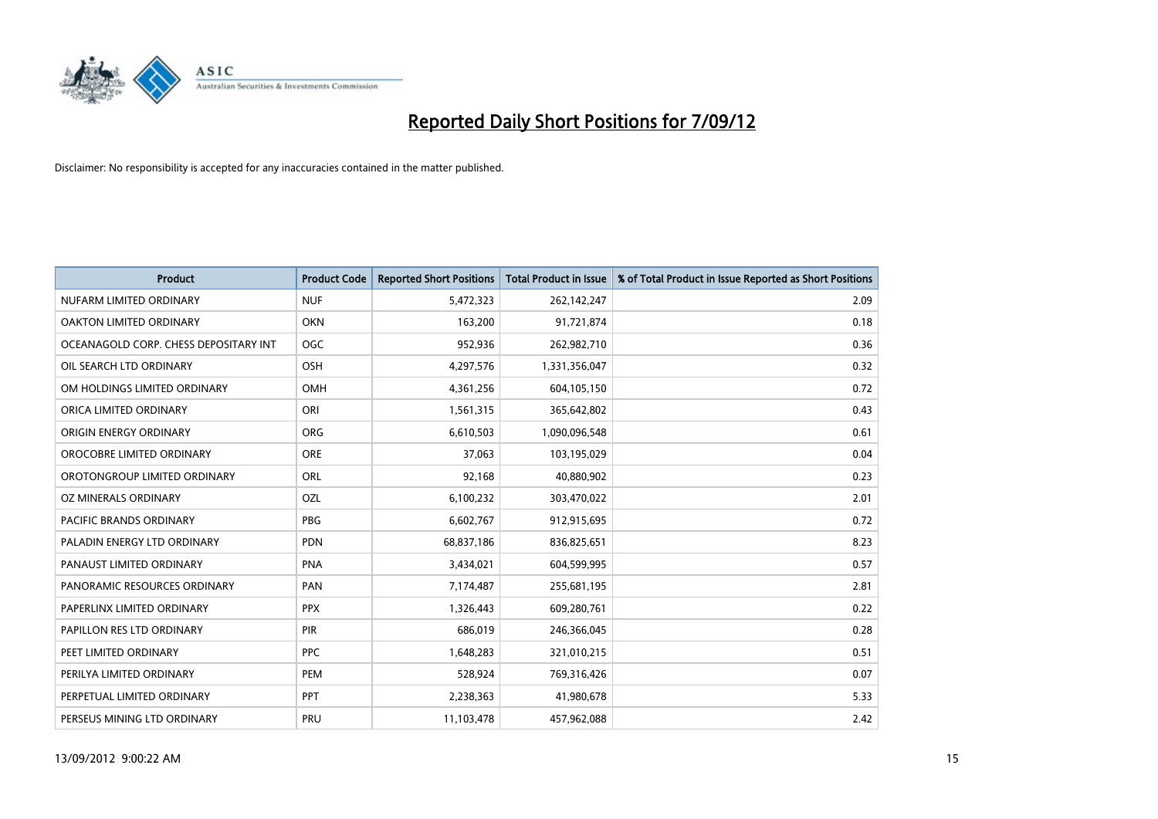

| <b>Product</b>                        | <b>Product Code</b> | <b>Reported Short Positions</b> | <b>Total Product in Issue</b> | % of Total Product in Issue Reported as Short Positions |
|---------------------------------------|---------------------|---------------------------------|-------------------------------|---------------------------------------------------------|
| NUFARM LIMITED ORDINARY               | <b>NUF</b>          | 5,472,323                       | 262,142,247                   | 2.09                                                    |
| OAKTON LIMITED ORDINARY               | <b>OKN</b>          | 163,200                         | 91,721,874                    | 0.18                                                    |
| OCEANAGOLD CORP. CHESS DEPOSITARY INT | <b>OGC</b>          | 952,936                         | 262,982,710                   | 0.36                                                    |
| OIL SEARCH LTD ORDINARY               | <b>OSH</b>          | 4,297,576                       | 1,331,356,047                 | 0.32                                                    |
| OM HOLDINGS LIMITED ORDINARY          | <b>OMH</b>          | 4,361,256                       | 604,105,150                   | 0.72                                                    |
| ORICA LIMITED ORDINARY                | ORI                 | 1,561,315                       | 365,642,802                   | 0.43                                                    |
| ORIGIN ENERGY ORDINARY                | <b>ORG</b>          | 6,610,503                       | 1,090,096,548                 | 0.61                                                    |
| OROCOBRE LIMITED ORDINARY             | <b>ORE</b>          | 37,063                          | 103,195,029                   | 0.04                                                    |
| OROTONGROUP LIMITED ORDINARY          | <b>ORL</b>          | 92,168                          | 40,880,902                    | 0.23                                                    |
| OZ MINERALS ORDINARY                  | OZL                 | 6,100,232                       | 303,470,022                   | 2.01                                                    |
| PACIFIC BRANDS ORDINARY               | <b>PBG</b>          | 6,602,767                       | 912,915,695                   | 0.72                                                    |
| PALADIN ENERGY LTD ORDINARY           | <b>PDN</b>          | 68,837,186                      | 836,825,651                   | 8.23                                                    |
| PANAUST LIMITED ORDINARY              | <b>PNA</b>          | 3,434,021                       | 604,599,995                   | 0.57                                                    |
| PANORAMIC RESOURCES ORDINARY          | PAN                 | 7,174,487                       | 255,681,195                   | 2.81                                                    |
| PAPERLINX LIMITED ORDINARY            | <b>PPX</b>          | 1,326,443                       | 609,280,761                   | 0.22                                                    |
| PAPILLON RES LTD ORDINARY             | PIR                 | 686,019                         | 246,366,045                   | 0.28                                                    |
| PEET LIMITED ORDINARY                 | <b>PPC</b>          | 1,648,283                       | 321,010,215                   | 0.51                                                    |
| PERILYA LIMITED ORDINARY              | PEM                 | 528,924                         | 769,316,426                   | 0.07                                                    |
| PERPETUAL LIMITED ORDINARY            | <b>PPT</b>          | 2,238,363                       | 41,980,678                    | 5.33                                                    |
| PERSEUS MINING LTD ORDINARY           | PRU                 | 11,103,478                      | 457,962,088                   | 2.42                                                    |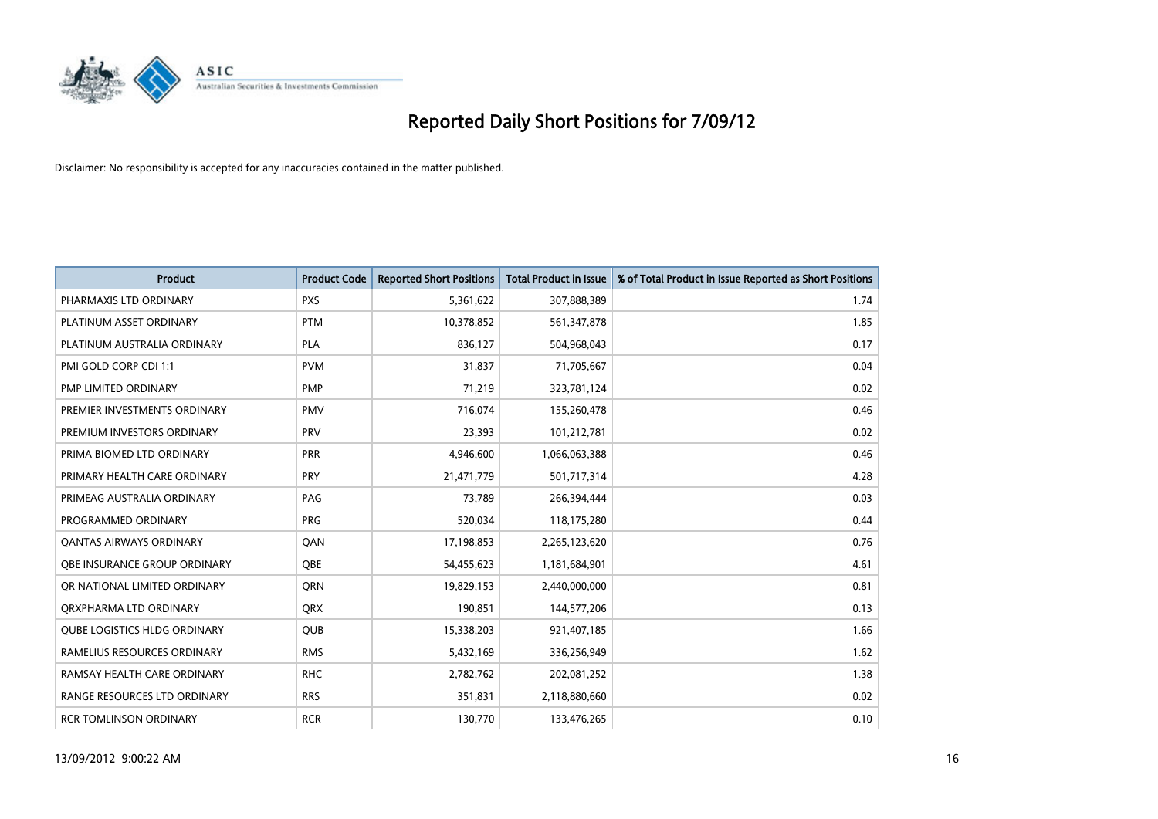

| <b>Product</b>                      | <b>Product Code</b> | <b>Reported Short Positions</b> | <b>Total Product in Issue</b> | % of Total Product in Issue Reported as Short Positions |
|-------------------------------------|---------------------|---------------------------------|-------------------------------|---------------------------------------------------------|
| PHARMAXIS LTD ORDINARY              | <b>PXS</b>          | 5,361,622                       | 307,888,389                   | 1.74                                                    |
| PLATINUM ASSET ORDINARY             | <b>PTM</b>          | 10,378,852                      | 561,347,878                   | 1.85                                                    |
| PLATINUM AUSTRALIA ORDINARY         | <b>PLA</b>          | 836,127                         | 504,968,043                   | 0.17                                                    |
| PMI GOLD CORP CDI 1:1               | <b>PVM</b>          | 31,837                          | 71,705,667                    | 0.04                                                    |
| PMP LIMITED ORDINARY                | <b>PMP</b>          | 71,219                          | 323,781,124                   | 0.02                                                    |
| PREMIER INVESTMENTS ORDINARY        | <b>PMV</b>          | 716,074                         | 155,260,478                   | 0.46                                                    |
| PREMIUM INVESTORS ORDINARY          | PRV                 | 23,393                          | 101,212,781                   | 0.02                                                    |
| PRIMA BIOMED LTD ORDINARY           | <b>PRR</b>          | 4,946,600                       | 1,066,063,388                 | 0.46                                                    |
| PRIMARY HEALTH CARE ORDINARY        | PRY                 | 21,471,779                      | 501,717,314                   | 4.28                                                    |
| PRIMEAG AUSTRALIA ORDINARY          | PAG                 | 73,789                          | 266,394,444                   | 0.03                                                    |
| PROGRAMMED ORDINARY                 | <b>PRG</b>          | 520,034                         | 118,175,280                   | 0.44                                                    |
| <b>QANTAS AIRWAYS ORDINARY</b>      | QAN                 | 17,198,853                      | 2,265,123,620                 | 0.76                                                    |
| <b>OBE INSURANCE GROUP ORDINARY</b> | <b>OBE</b>          | 54,455,623                      | 1,181,684,901                 | 4.61                                                    |
| OR NATIONAL LIMITED ORDINARY        | <b>ORN</b>          | 19,829,153                      | 2,440,000,000                 | 0.81                                                    |
| ORXPHARMA LTD ORDINARY              | <b>QRX</b>          | 190,851                         | 144,577,206                   | 0.13                                                    |
| <b>QUBE LOGISTICS HLDG ORDINARY</b> | <b>QUB</b>          | 15,338,203                      | 921,407,185                   | 1.66                                                    |
| RAMELIUS RESOURCES ORDINARY         | <b>RMS</b>          | 5,432,169                       | 336,256,949                   | 1.62                                                    |
| RAMSAY HEALTH CARE ORDINARY         | <b>RHC</b>          | 2,782,762                       | 202,081,252                   | 1.38                                                    |
| RANGE RESOURCES LTD ORDINARY        | <b>RRS</b>          | 351,831                         | 2,118,880,660                 | 0.02                                                    |
| <b>RCR TOMLINSON ORDINARY</b>       | <b>RCR</b>          | 130,770                         | 133,476,265                   | 0.10                                                    |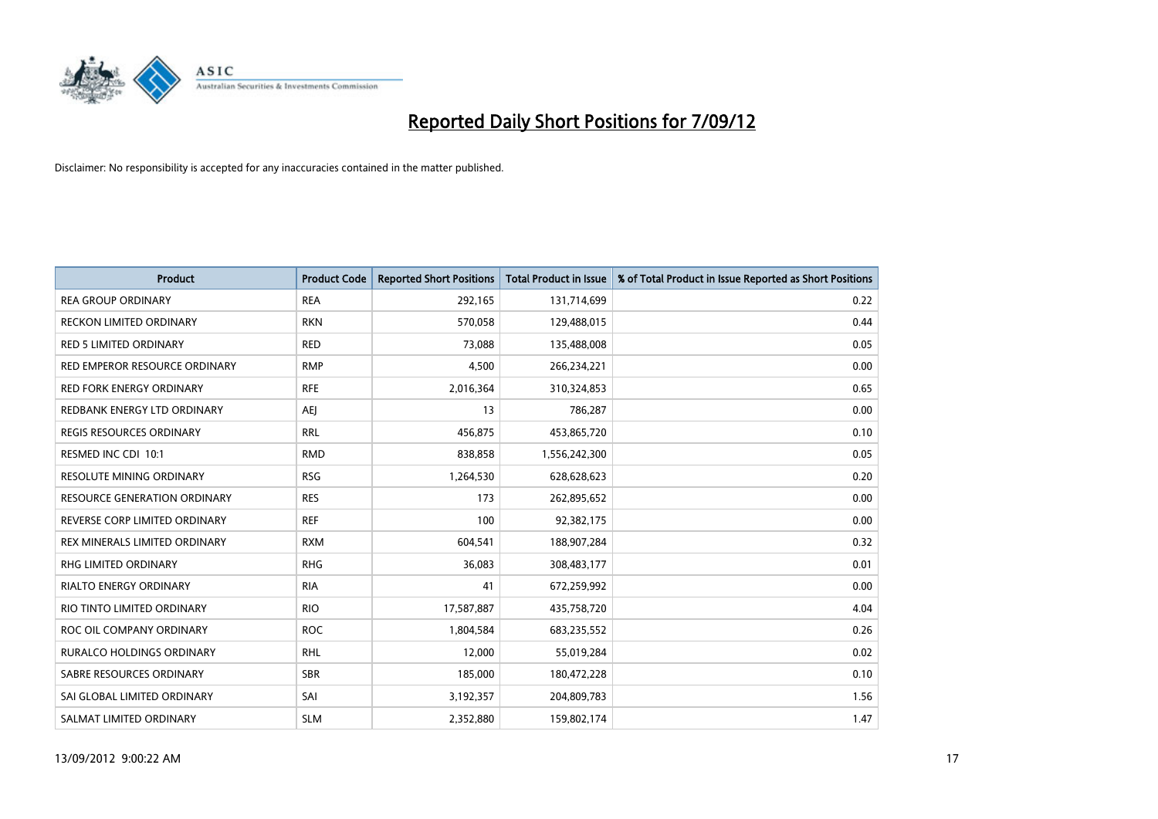

| <b>Product</b>                      | <b>Product Code</b> | <b>Reported Short Positions</b> | <b>Total Product in Issue</b> | % of Total Product in Issue Reported as Short Positions |
|-------------------------------------|---------------------|---------------------------------|-------------------------------|---------------------------------------------------------|
| <b>REA GROUP ORDINARY</b>           | <b>REA</b>          | 292,165                         | 131,714,699                   | 0.22                                                    |
| <b>RECKON LIMITED ORDINARY</b>      | <b>RKN</b>          | 570,058                         | 129,488,015                   | 0.44                                                    |
| <b>RED 5 LIMITED ORDINARY</b>       | <b>RED</b>          | 73,088                          | 135,488,008                   | 0.05                                                    |
| RED EMPEROR RESOURCE ORDINARY       | <b>RMP</b>          | 4,500                           | 266,234,221                   | 0.00                                                    |
| <b>RED FORK ENERGY ORDINARY</b>     | <b>RFE</b>          | 2,016,364                       | 310,324,853                   | 0.65                                                    |
| REDBANK ENERGY LTD ORDINARY         | AEJ                 | 13                              | 786,287                       | 0.00                                                    |
| <b>REGIS RESOURCES ORDINARY</b>     | <b>RRL</b>          | 456.875                         | 453,865,720                   | 0.10                                                    |
| RESMED INC CDI 10:1                 | <b>RMD</b>          | 838,858                         | 1,556,242,300                 | 0.05                                                    |
| RESOLUTE MINING ORDINARY            | <b>RSG</b>          | 1,264,530                       | 628,628,623                   | 0.20                                                    |
| <b>RESOURCE GENERATION ORDINARY</b> | <b>RES</b>          | 173                             | 262,895,652                   | 0.00                                                    |
| REVERSE CORP LIMITED ORDINARY       | <b>REF</b>          | 100                             | 92,382,175                    | 0.00                                                    |
| REX MINERALS LIMITED ORDINARY       | <b>RXM</b>          | 604,541                         | 188,907,284                   | 0.32                                                    |
| <b>RHG LIMITED ORDINARY</b>         | <b>RHG</b>          | 36,083                          | 308,483,177                   | 0.01                                                    |
| <b>RIALTO ENERGY ORDINARY</b>       | <b>RIA</b>          | 41                              | 672,259,992                   | 0.00                                                    |
| RIO TINTO LIMITED ORDINARY          | <b>RIO</b>          | 17,587,887                      | 435,758,720                   | 4.04                                                    |
| ROC OIL COMPANY ORDINARY            | <b>ROC</b>          | 1,804,584                       | 683,235,552                   | 0.26                                                    |
| <b>RURALCO HOLDINGS ORDINARY</b>    | <b>RHL</b>          | 12,000                          | 55,019,284                    | 0.02                                                    |
| SABRE RESOURCES ORDINARY            | <b>SBR</b>          | 185,000                         | 180,472,228                   | 0.10                                                    |
| SAI GLOBAL LIMITED ORDINARY         | SAI                 | 3,192,357                       | 204,809,783                   | 1.56                                                    |
| SALMAT LIMITED ORDINARY             | <b>SLM</b>          | 2,352,880                       | 159,802,174                   | 1.47                                                    |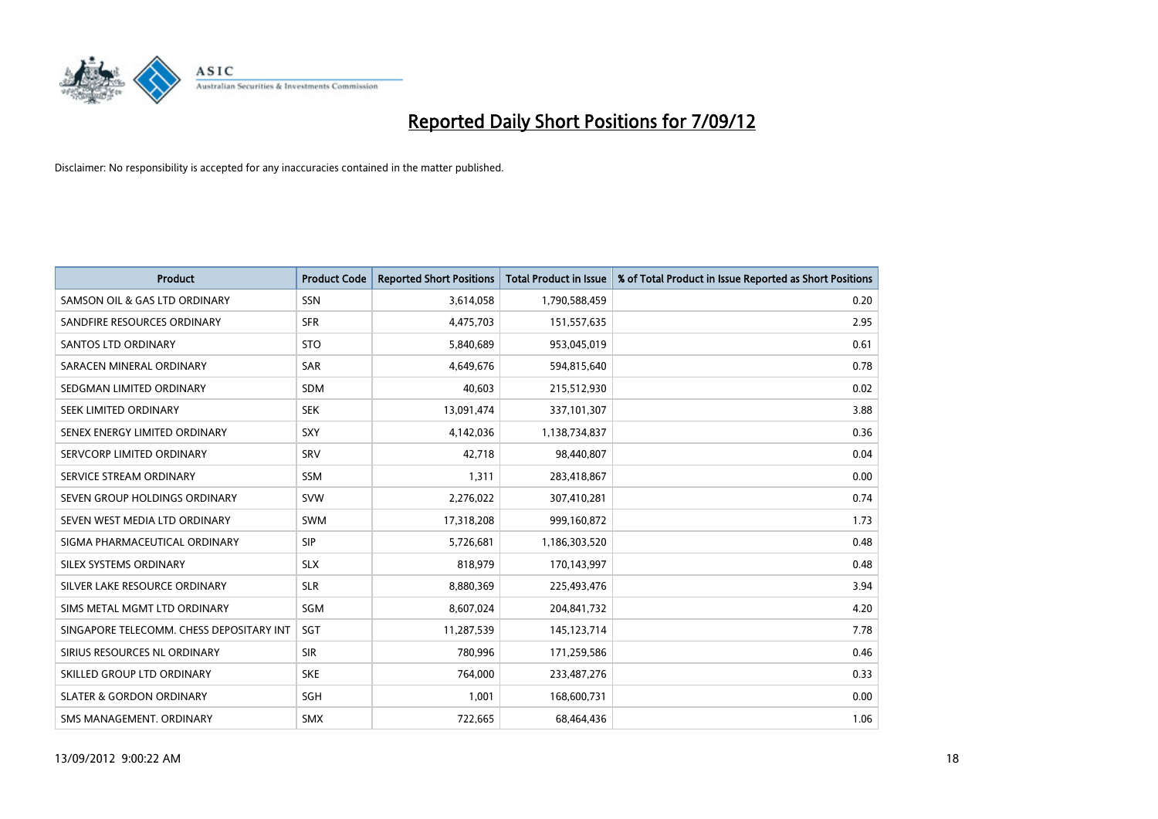

| <b>Product</b>                           | <b>Product Code</b> | <b>Reported Short Positions</b> | <b>Total Product in Issue</b> | % of Total Product in Issue Reported as Short Positions |
|------------------------------------------|---------------------|---------------------------------|-------------------------------|---------------------------------------------------------|
| SAMSON OIL & GAS LTD ORDINARY            | <b>SSN</b>          | 3,614,058                       | 1,790,588,459                 | 0.20                                                    |
| SANDFIRE RESOURCES ORDINARY              | <b>SFR</b>          | 4,475,703                       | 151,557,635                   | 2.95                                                    |
| <b>SANTOS LTD ORDINARY</b>               | <b>STO</b>          | 5,840,689                       | 953,045,019                   | 0.61                                                    |
| SARACEN MINERAL ORDINARY                 | <b>SAR</b>          | 4,649,676                       | 594,815,640                   | 0.78                                                    |
| SEDGMAN LIMITED ORDINARY                 | <b>SDM</b>          | 40.603                          | 215,512,930                   | 0.02                                                    |
| SEEK LIMITED ORDINARY                    | <b>SEK</b>          | 13,091,474                      | 337,101,307                   | 3.88                                                    |
| SENEX ENERGY LIMITED ORDINARY            | <b>SXY</b>          | 4,142,036                       | 1,138,734,837                 | 0.36                                                    |
| SERVCORP LIMITED ORDINARY                | SRV                 | 42,718                          | 98,440,807                    | 0.04                                                    |
| SERVICE STREAM ORDINARY                  | <b>SSM</b>          | 1,311                           | 283,418,867                   | 0.00                                                    |
| SEVEN GROUP HOLDINGS ORDINARY            | <b>SVW</b>          | 2,276,022                       | 307,410,281                   | 0.74                                                    |
| SEVEN WEST MEDIA LTD ORDINARY            | <b>SWM</b>          | 17,318,208                      | 999,160,872                   | 1.73                                                    |
| SIGMA PHARMACEUTICAL ORDINARY            | <b>SIP</b>          | 5,726,681                       | 1,186,303,520                 | 0.48                                                    |
| <b>SILEX SYSTEMS ORDINARY</b>            | <b>SLX</b>          | 818,979                         | 170,143,997                   | 0.48                                                    |
| SILVER LAKE RESOURCE ORDINARY            | <b>SLR</b>          | 8,880,369                       | 225,493,476                   | 3.94                                                    |
| SIMS METAL MGMT LTD ORDINARY             | SGM                 | 8,607,024                       | 204,841,732                   | 4.20                                                    |
| SINGAPORE TELECOMM. CHESS DEPOSITARY INT | SGT                 | 11,287,539                      | 145, 123, 714                 | 7.78                                                    |
| SIRIUS RESOURCES NL ORDINARY             | <b>SIR</b>          | 780,996                         | 171,259,586                   | 0.46                                                    |
| SKILLED GROUP LTD ORDINARY               | <b>SKE</b>          | 764,000                         | 233,487,276                   | 0.33                                                    |
| <b>SLATER &amp; GORDON ORDINARY</b>      | SGH                 | 1,001                           | 168,600,731                   | 0.00                                                    |
| SMS MANAGEMENT, ORDINARY                 | <b>SMX</b>          | 722.665                         | 68,464,436                    | 1.06                                                    |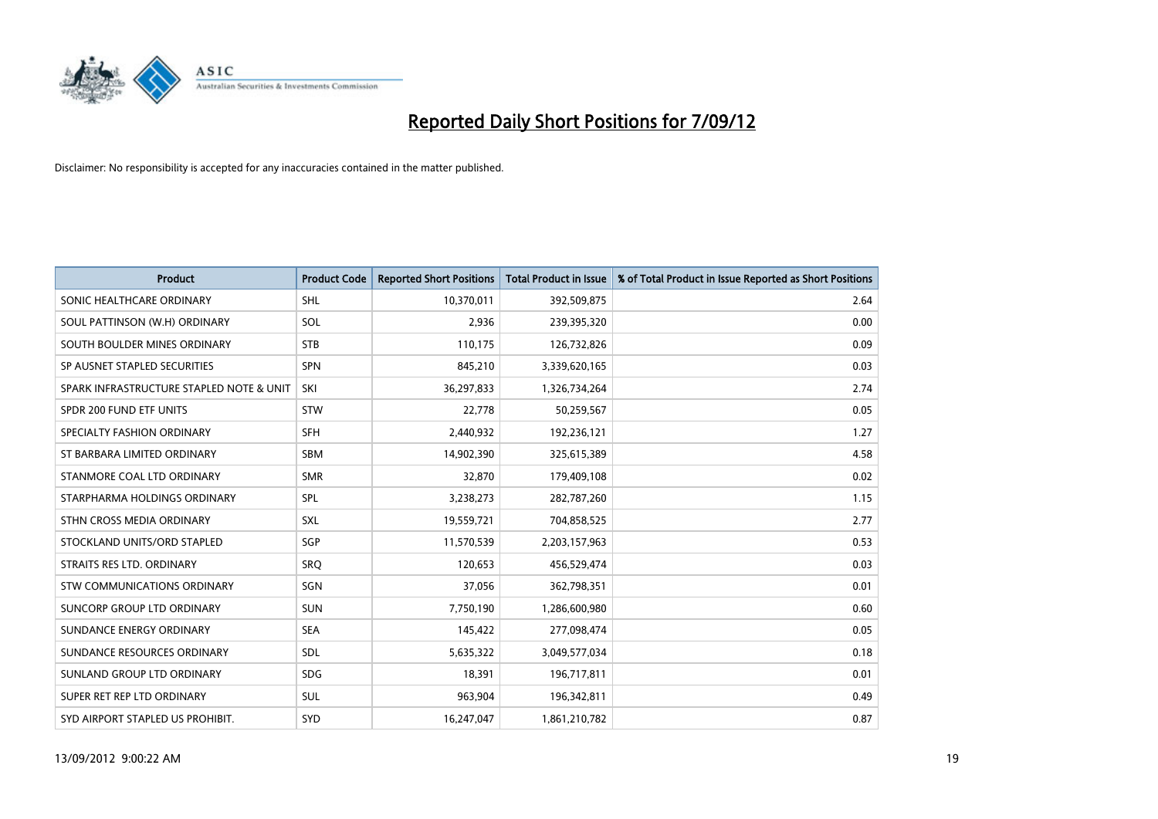

| <b>Product</b>                           | <b>Product Code</b> | <b>Reported Short Positions</b> | <b>Total Product in Issue</b> | % of Total Product in Issue Reported as Short Positions |
|------------------------------------------|---------------------|---------------------------------|-------------------------------|---------------------------------------------------------|
| SONIC HEALTHCARE ORDINARY                | <b>SHL</b>          | 10,370,011                      | 392,509,875                   | 2.64                                                    |
| SOUL PATTINSON (W.H) ORDINARY            | SOL                 | 2,936                           | 239,395,320                   | 0.00                                                    |
| SOUTH BOULDER MINES ORDINARY             | <b>STB</b>          | 110,175                         | 126,732,826                   | 0.09                                                    |
| SP AUSNET STAPLED SECURITIES             | <b>SPN</b>          | 845,210                         | 3,339,620,165                 | 0.03                                                    |
| SPARK INFRASTRUCTURE STAPLED NOTE & UNIT | SKI                 | 36,297,833                      | 1,326,734,264                 | 2.74                                                    |
| SPDR 200 FUND ETF UNITS                  | <b>STW</b>          | 22,778                          | 50,259,567                    | 0.05                                                    |
| SPECIALTY FASHION ORDINARY               | <b>SFH</b>          | 2,440,932                       | 192,236,121                   | 1.27                                                    |
| ST BARBARA LIMITED ORDINARY              | <b>SBM</b>          | 14,902,390                      | 325,615,389                   | 4.58                                                    |
| STANMORE COAL LTD ORDINARY               | <b>SMR</b>          | 32,870                          | 179,409,108                   | 0.02                                                    |
| STARPHARMA HOLDINGS ORDINARY             | SPL                 | 3,238,273                       | 282,787,260                   | 1.15                                                    |
| STHN CROSS MEDIA ORDINARY                | <b>SXL</b>          | 19,559,721                      | 704,858,525                   | 2.77                                                    |
| STOCKLAND UNITS/ORD STAPLED              | SGP                 | 11,570,539                      | 2,203,157,963                 | 0.53                                                    |
| STRAITS RES LTD. ORDINARY                | SRQ                 | 120,653                         | 456,529,474                   | 0.03                                                    |
| <b>STW COMMUNICATIONS ORDINARY</b>       | SGN                 | 37,056                          | 362,798,351                   | 0.01                                                    |
| SUNCORP GROUP LTD ORDINARY               | <b>SUN</b>          | 7,750,190                       | 1,286,600,980                 | 0.60                                                    |
| SUNDANCE ENERGY ORDINARY                 | <b>SEA</b>          | 145,422                         | 277,098,474                   | 0.05                                                    |
| SUNDANCE RESOURCES ORDINARY              | <b>SDL</b>          | 5,635,322                       | 3,049,577,034                 | 0.18                                                    |
| SUNLAND GROUP LTD ORDINARY               | <b>SDG</b>          | 18,391                          | 196,717,811                   | 0.01                                                    |
| SUPER RET REP LTD ORDINARY               | <b>SUL</b>          | 963,904                         | 196,342,811                   | 0.49                                                    |
| SYD AIRPORT STAPLED US PROHIBIT.         | <b>SYD</b>          | 16,247,047                      | 1,861,210,782                 | 0.87                                                    |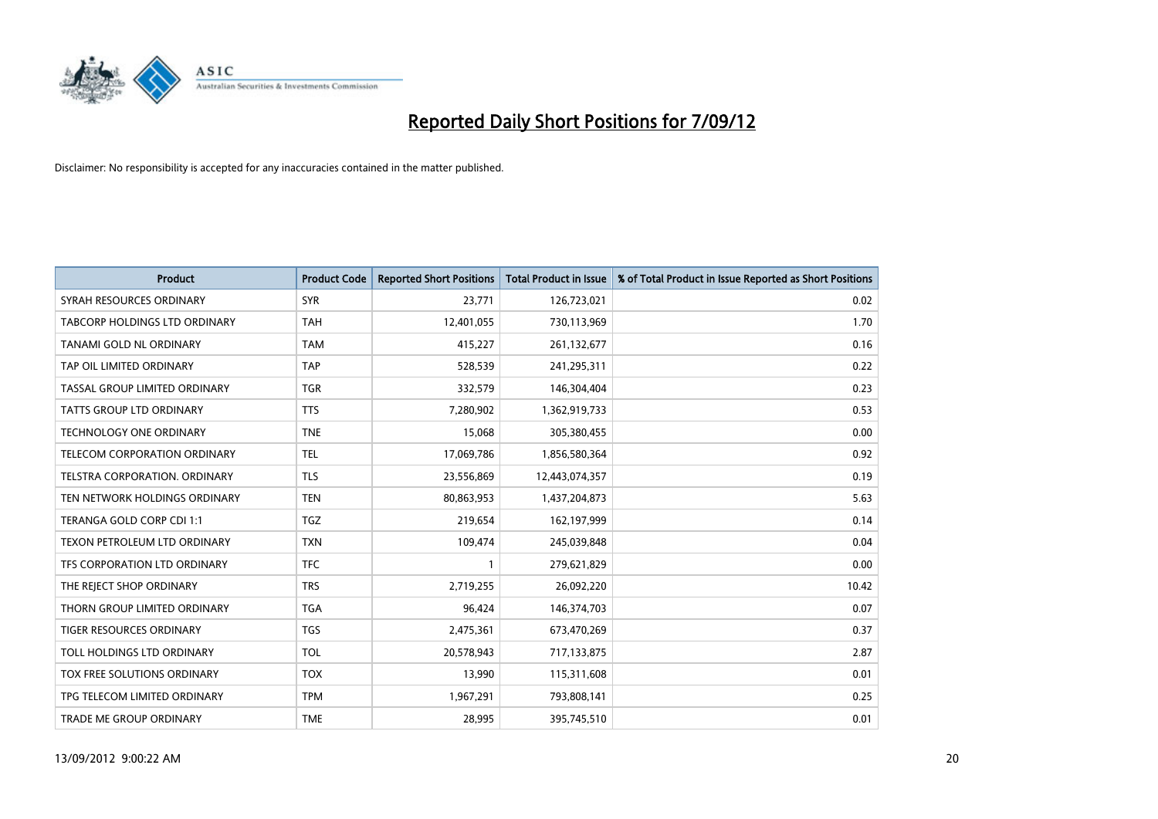

| <b>Product</b>                       | <b>Product Code</b> | <b>Reported Short Positions</b> | <b>Total Product in Issue</b> | % of Total Product in Issue Reported as Short Positions |
|--------------------------------------|---------------------|---------------------------------|-------------------------------|---------------------------------------------------------|
| SYRAH RESOURCES ORDINARY             | <b>SYR</b>          | 23,771                          | 126,723,021                   | 0.02                                                    |
| <b>TABCORP HOLDINGS LTD ORDINARY</b> | <b>TAH</b>          | 12,401,055                      | 730,113,969                   | 1.70                                                    |
| TANAMI GOLD NL ORDINARY              | <b>TAM</b>          | 415,227                         | 261,132,677                   | 0.16                                                    |
| TAP OIL LIMITED ORDINARY             | <b>TAP</b>          | 528,539                         | 241,295,311                   | 0.22                                                    |
| TASSAL GROUP LIMITED ORDINARY        | <b>TGR</b>          | 332,579                         | 146,304,404                   | 0.23                                                    |
| <b>TATTS GROUP LTD ORDINARY</b>      | <b>TTS</b>          | 7,280,902                       | 1,362,919,733                 | 0.53                                                    |
| <b>TECHNOLOGY ONE ORDINARY</b>       | <b>TNE</b>          | 15,068                          | 305,380,455                   | 0.00                                                    |
| TELECOM CORPORATION ORDINARY         | <b>TEL</b>          | 17,069,786                      | 1,856,580,364                 | 0.92                                                    |
| TELSTRA CORPORATION, ORDINARY        | <b>TLS</b>          | 23,556,869                      | 12,443,074,357                | 0.19                                                    |
| TEN NETWORK HOLDINGS ORDINARY        | <b>TEN</b>          | 80,863,953                      | 1,437,204,873                 | 5.63                                                    |
| TERANGA GOLD CORP CDI 1:1            | <b>TGZ</b>          | 219,654                         | 162,197,999                   | 0.14                                                    |
| <b>TEXON PETROLEUM LTD ORDINARY</b>  | <b>TXN</b>          | 109,474                         | 245,039,848                   | 0.04                                                    |
| TFS CORPORATION LTD ORDINARY         | <b>TFC</b>          |                                 | 279,621,829                   | 0.00                                                    |
| THE REJECT SHOP ORDINARY             | <b>TRS</b>          | 2,719,255                       | 26,092,220                    | 10.42                                                   |
| THORN GROUP LIMITED ORDINARY         | <b>TGA</b>          | 96,424                          | 146,374,703                   | 0.07                                                    |
| TIGER RESOURCES ORDINARY             | <b>TGS</b>          | 2,475,361                       | 673,470,269                   | 0.37                                                    |
| TOLL HOLDINGS LTD ORDINARY           | <b>TOL</b>          | 20,578,943                      | 717,133,875                   | 2.87                                                    |
| TOX FREE SOLUTIONS ORDINARY          | <b>TOX</b>          | 13,990                          | 115,311,608                   | 0.01                                                    |
| TPG TELECOM LIMITED ORDINARY         | <b>TPM</b>          | 1,967,291                       | 793,808,141                   | 0.25                                                    |
| TRADE ME GROUP ORDINARY              | <b>TME</b>          | 28,995                          | 395,745,510                   | 0.01                                                    |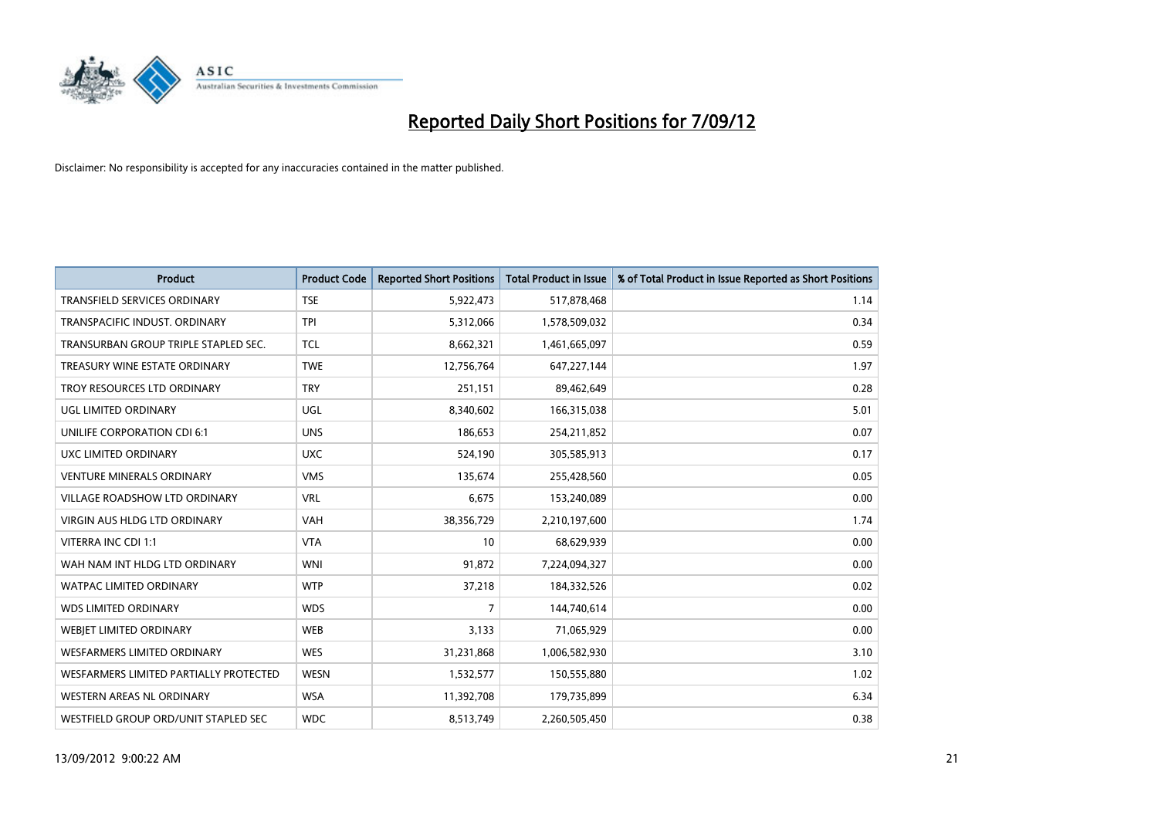

| <b>Product</b>                         | <b>Product Code</b> | <b>Reported Short Positions</b> | <b>Total Product in Issue</b> | % of Total Product in Issue Reported as Short Positions |
|----------------------------------------|---------------------|---------------------------------|-------------------------------|---------------------------------------------------------|
| <b>TRANSFIELD SERVICES ORDINARY</b>    | <b>TSE</b>          | 5,922,473                       | 517,878,468                   | 1.14                                                    |
| TRANSPACIFIC INDUST, ORDINARY          | <b>TPI</b>          | 5,312,066                       | 1,578,509,032                 | 0.34                                                    |
| TRANSURBAN GROUP TRIPLE STAPLED SEC.   | <b>TCL</b>          | 8,662,321                       | 1,461,665,097                 | 0.59                                                    |
| TREASURY WINE ESTATE ORDINARY          | <b>TWE</b>          | 12,756,764                      | 647,227,144                   | 1.97                                                    |
| TROY RESOURCES LTD ORDINARY            | <b>TRY</b>          | 251,151                         | 89,462,649                    | 0.28                                                    |
| UGL LIMITED ORDINARY                   | UGL                 | 8,340,602                       | 166,315,038                   | 5.01                                                    |
| UNILIFE CORPORATION CDI 6:1            | <b>UNS</b>          | 186,653                         | 254,211,852                   | 0.07                                                    |
| UXC LIMITED ORDINARY                   | <b>UXC</b>          | 524,190                         | 305,585,913                   | 0.17                                                    |
| <b>VENTURE MINERALS ORDINARY</b>       | <b>VMS</b>          | 135,674                         | 255,428,560                   | 0.05                                                    |
| <b>VILLAGE ROADSHOW LTD ORDINARY</b>   | <b>VRL</b>          | 6,675                           | 153,240,089                   | 0.00                                                    |
| <b>VIRGIN AUS HLDG LTD ORDINARY</b>    | <b>VAH</b>          | 38,356,729                      | 2,210,197,600                 | 1.74                                                    |
| VITERRA INC CDI 1:1                    | <b>VTA</b>          | 10                              | 68,629,939                    | 0.00                                                    |
| WAH NAM INT HLDG LTD ORDINARY          | <b>WNI</b>          | 91,872                          | 7,224,094,327                 | 0.00                                                    |
| <b>WATPAC LIMITED ORDINARY</b>         | <b>WTP</b>          | 37,218                          | 184,332,526                   | 0.02                                                    |
| <b>WDS LIMITED ORDINARY</b>            | <b>WDS</b>          | 7                               | 144,740,614                   | 0.00                                                    |
| WEBJET LIMITED ORDINARY                | <b>WEB</b>          | 3,133                           | 71,065,929                    | 0.00                                                    |
| <b>WESFARMERS LIMITED ORDINARY</b>     | <b>WES</b>          | 31,231,868                      | 1,006,582,930                 | 3.10                                                    |
| WESFARMERS LIMITED PARTIALLY PROTECTED | <b>WESN</b>         | 1,532,577                       | 150,555,880                   | 1.02                                                    |
| WESTERN AREAS NL ORDINARY              | <b>WSA</b>          | 11,392,708                      | 179,735,899                   | 6.34                                                    |
| WESTFIELD GROUP ORD/UNIT STAPLED SEC   | <b>WDC</b>          | 8,513,749                       | 2,260,505,450                 | 0.38                                                    |